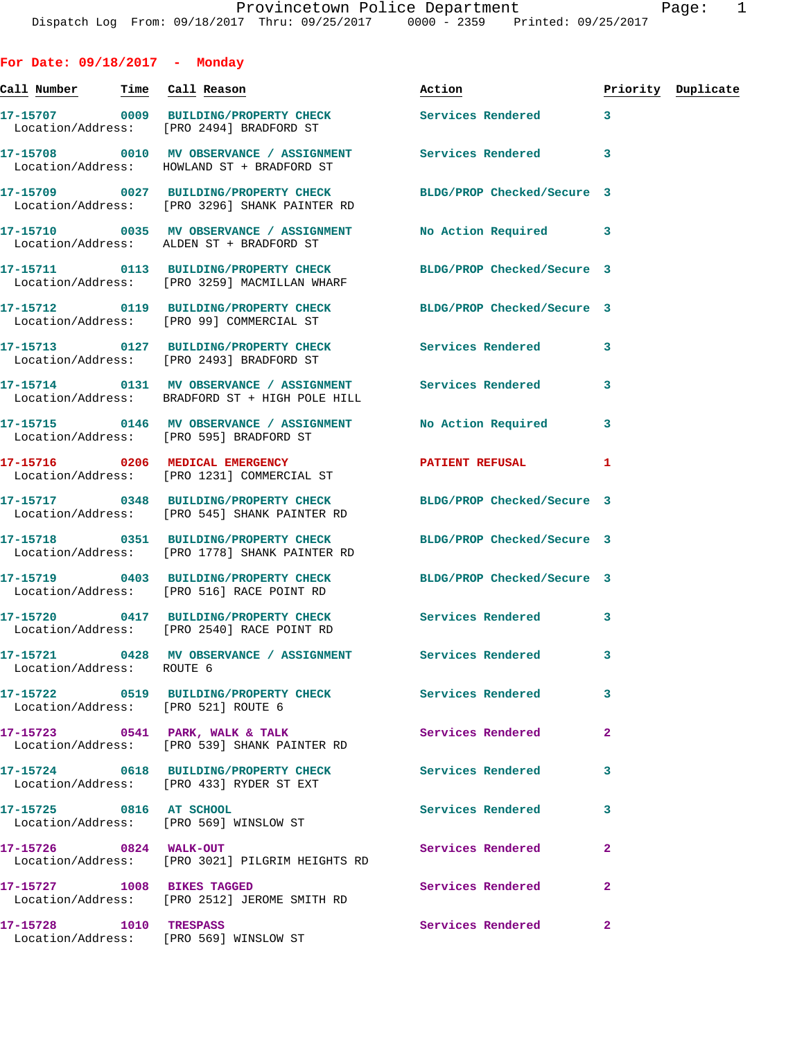**For Date: 09/18/2017 - Monday Call Number Time Call Reason Action Priority Duplicate 17-15707 0009 BUILDING/PROPERTY CHECK Services Rendered 3**  Location/Address: [PRO 2494] BRADFORD ST **17-15708 0010 MV OBSERVANCE / ASSIGNMENT Services Rendered 3**  Location/Address: HOWLAND ST + BRADFORD ST **17-15709 0027 BUILDING/PROPERTY CHECK BLDG/PROP Checked/Secure 3**  Location/Address: [PRO 3296] SHANK PAINTER RD **17-15710 0035 MV OBSERVANCE / ASSIGNMENT No Action Required 3**  Location/Address: ALDEN ST + BRADFORD ST **17-15711 0113 BUILDING/PROPERTY CHECK BLDG/PROP Checked/Secure 3**  Location/Address: [PRO 3259] MACMILLAN WHARF **17-15712 0119 BUILDING/PROPERTY CHECK BLDG/PROP Checked/Secure 3**  Location/Address: [PRO 99] COMMERCIAL ST **17-15713 0127 BUILDING/PROPERTY CHECK Services Rendered 3**  Location/Address: [PRO 2493] BRADFORD ST **17-15714 0131 MV OBSERVANCE / ASSIGNMENT Services Rendered 3**  Location/Address: BRADFORD ST + HIGH POLE HILL **17-15715 0146 MV OBSERVANCE / ASSIGNMENT No Action Required 3**  Location/Address: [PRO 595] BRADFORD ST **17-15716 0206 MEDICAL EMERGENCY PATIENT REFUSAL 1**  Location/Address: [PRO 1231] COMMERCIAL ST **17-15717 0348 BUILDING/PROPERTY CHECK BLDG/PROP Checked/Secure 3**  Location/Address: [PRO 545] SHANK PAINTER RD **17-15718 0351 BUILDING/PROPERTY CHECK BLDG/PROP Checked/Secure 3**  Location/Address: [PRO 1778] SHANK PAINTER RD **17-15719 0403 BUILDING/PROPERTY CHECK BLDG/PROP Checked/Secure 3**  Location/Address: [PRO 516] RACE POINT RD **17-15720 0417 BUILDING/PROPERTY CHECK Services Rendered 3**  Location/Address: [PRO 2540] RACE POINT RD **17-15721 0428 MV OBSERVANCE / ASSIGNMENT Services Rendered 3**  Location/Address: ROUTE 6 **17-15722 0519 BUILDING/PROPERTY CHECK Services Rendered 3**  Location/Address: [PRO 521] ROUTE 6 **17-15723 0541 PARK, WALK & TALK Services Rendered 2**  Location/Address: [PRO 539] SHANK PAINTER RD **17-15724 0618 BUILDING/PROPERTY CHECK Services Rendered 3**  Location/Address: [PRO 433] RYDER ST EXT **17-15725 0816 AT SCHOOL Services Rendered 3**  Location/Address: [PRO 569] WINSLOW ST **17-15726 0824 WALK-OUT Services Rendered 2**  Location/Address: [PRO 3021] PILGRIM HEIGHTS RD **17-15727 1008 BIKES TAGGED Services Rendered 2**  Location/Address: [PRO 2512] JEROME SMITH RD

Location/Address: [PRO 569] WINSLOW ST

**17-15728 1010 TRESPASS Services Rendered 2**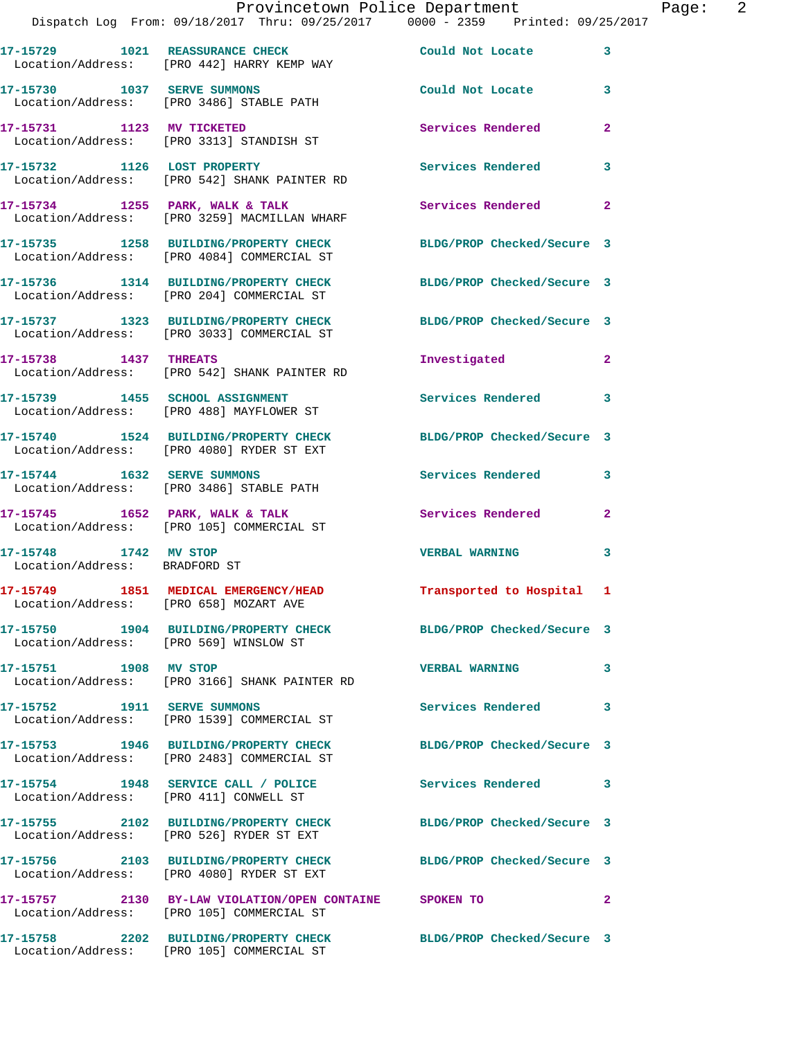|                                                        | Dispatch Log From: 09/18/2017 Thru: 09/25/2017 0000 - 2359 Printed: 09/25/2017                                 | Provincetown Police Department | Page: 2      |
|--------------------------------------------------------|----------------------------------------------------------------------------------------------------------------|--------------------------------|--------------|
|                                                        | 17-15729 1021 REASSURANCE CHECK Could Not Locate<br>Location/Address: [PRO 442] HARRY KEMP WAY                 |                                | $\mathbf{3}$ |
|                                                        | 17-15730 1037 SERVE SUMMONS<br>Location/Address: [PRO 3486] STABLE PATH                                        | Could Not Locate 3             |              |
|                                                        | 17-15731 1123 MV TICKETED<br>Location/Address: [PRO 3313] STANDISH ST                                          | <b>Services Rendered</b>       | $\mathbf{2}$ |
|                                                        | 17-15732 1126 LOST PROPERTY<br>Location/Address: [PRO 542] SHANK PAINTER RD                                    | Services Rendered              | $\mathbf{3}$ |
|                                                        | 17-15734 1255 PARK, WALK & TALK<br>Location/Address: [PRO 3259] MACMILLAN WHARF                                | Services Rendered              | $\mathbf{2}$ |
|                                                        | 17-15735 1258 BUILDING/PROPERTY CHECK BLDG/PROP Checked/Secure 3<br>Location/Address: [PRO 4084] COMMERCIAL ST |                                |              |
|                                                        | 17-15736 1314 BUILDING/PROPERTY CHECK BLDG/PROP Checked/Secure 3<br>Location/Address: [PRO 204] COMMERCIAL ST  |                                |              |
|                                                        | 17-15737 1323 BUILDING/PROPERTY CHECK BLDG/PROP Checked/Secure 3<br>Location/Address: [PRO 3033] COMMERCIAL ST |                                |              |
| 17-15738 1437 THREATS                                  | Location/Address: [PRO 542] SHANK PAINTER RD                                                                   | Investigated                   | $\mathbf{2}$ |
|                                                        | 17-15739 1455 SCHOOL ASSIGNMENT<br>Location/Address: [PRO 488] MAYFLOWER ST                                    | <b>Services Rendered</b>       | 3            |
|                                                        | 17-15740 1524 BUILDING/PROPERTY CHECK BLDG/PROP Checked/Secure 3<br>Location/Address: [PRO 4080] RYDER ST EXT  |                                |              |
|                                                        | 17-15744 1632 SERVE SUMMONS<br>Location/Address: [PRO 3486] STABLE PATH                                        | Services Rendered              | $\mathbf{3}$ |
|                                                        | 17-15745 1652 PARK, WALK & TALK 1999 Services Rendered<br>Location/Address: [PRO 105] COMMERCIAL ST            |                                | $\mathbf{2}$ |
| 17-15748 1742 MV STOP<br>Location/Address: BRADFORD ST |                                                                                                                | <b>VERBAL WARNING</b>          | $\mathbf{3}$ |
| Location/Address: [PRO 658] MOZART AVE                 | 17-15749 1851 MEDICAL EMERGENCY/HEAD                                                                           | Transported to Hospital 1      |              |
| Location/Address: [PRO 569] WINSLOW ST                 | 17-15750 1904 BUILDING/PROPERTY CHECK BLDG/PROP Checked/Secure 3                                               |                                |              |
| 17-15751 1908 MV STOP                                  | Location/Address: [PRO 3166] SHANK PAINTER RD                                                                  | <b>VERBAL WARNING</b>          | 3            |
|                                                        | 17-15752 1911 SERVE SUMMONS<br>Location/Address: [PRO 1539] COMMERCIAL ST                                      | <b>Services Rendered</b>       | 3            |
|                                                        | 17-15753 1946 BUILDING/PROPERTY CHECK BLDG/PROP Checked/Secure 3<br>Location/Address: [PRO 2483] COMMERCIAL ST |                                |              |
|                                                        | 17-15754 1948 SERVICE CALL / POLICE Services Rendered<br>Location/Address: [PRO 411] CONWELL ST                |                                | 3            |
|                                                        | 17-15755 2102 BUILDING/PROPERTY CHECK BLDG/PROP Checked/Secure 3<br>Location/Address: [PRO 526] RYDER ST EXT   |                                |              |
|                                                        | 17-15756 2103 BUILDING/PROPERTY CHECK BLDG/PROP Checked/Secure 3<br>Location/Address: [PRO 4080] RYDER ST EXT  |                                |              |
|                                                        | 17-15757 2130 BY-LAW VIOLATION/OPEN CONTAINE SPOKEN TO<br>Location/Address: [PRO 105] COMMERCIAL ST            |                                | $\mathbf{2}$ |
|                                                        | 17-15758 2202 BUILDING/PROPERTY CHECK BLDG/PROP Checked/Secure 3<br>Location/Address: [PRO 105] COMMERCIAL ST  |                                |              |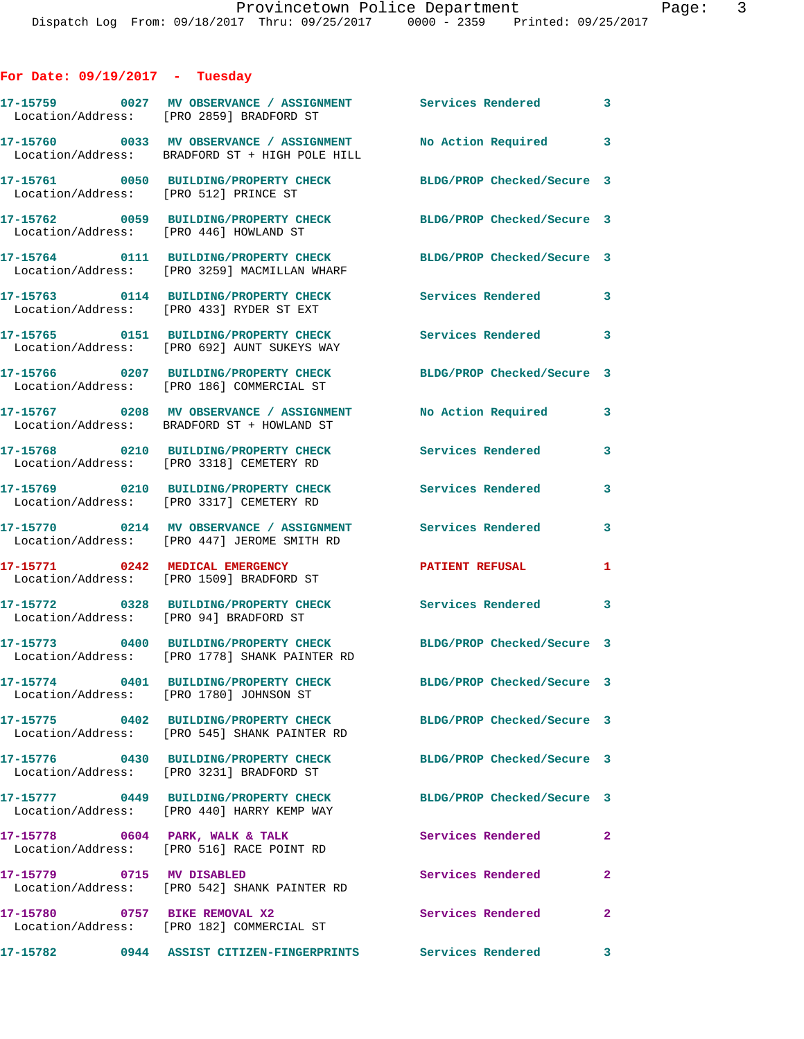## **For Date: 09/19/2017 - Tuesday**

|                                         | 17-15759 0027 MV OBSERVANCE / ASSIGNMENT<br>Location/Address: [PRO 2859] BRADFORD ST       | <b>Services Rendered</b>   | 3              |
|-----------------------------------------|--------------------------------------------------------------------------------------------|----------------------------|----------------|
|                                         | 17-15760 0033 MV OBSERVANCE / ASSIGNMENT<br>Location/Address: BRADFORD ST + HIGH POLE HILL | No Action Required 3       |                |
| Location/Address: [PRO 512] PRINCE ST   | 17-15761 0050 BUILDING/PROPERTY CHECK                                                      | BLDG/PROP Checked/Secure 3 |                |
| Location/Address: [PRO 446] HOWLAND ST  | 17-15762 0059 BUILDING/PROPERTY CHECK                                                      | BLDG/PROP Checked/Secure 3 |                |
|                                         | 17-15764 0111 BUILDING/PROPERTY CHECK<br>Location/Address: [PRO 3259] MACMILLAN WHARF      | BLDG/PROP Checked/Secure 3 |                |
|                                         | 17-15763 0114 BUILDING/PROPERTY CHECK<br>Location/Address: [PRO 433] RYDER ST EXT          | <b>Services Rendered</b> 3 |                |
|                                         | 17-15765 0151 BUILDING/PROPERTY CHECK<br>Location/Address: [PRO 692] AUNT SUKEYS WAY       | <b>Services Rendered</b>   | 3              |
|                                         | 17-15766 0207 BUILDING/PROPERTY CHECK<br>Location/Address: [PRO 186] COMMERCIAL ST         | BLDG/PROP Checked/Secure 3 |                |
|                                         | 17-15767 0208 MV OBSERVANCE / ASSIGNMENT<br>Location/Address: BRADFORD ST + HOWLAND ST     | No Action Required         | 3              |
|                                         | 17-15768 0210 BUILDING/PROPERTY CHECK<br>Location/Address: [PRO 3318] CEMETERY RD          | Services Rendered          | 3              |
|                                         | 17-15769 0210 BUILDING/PROPERTY CHECK<br>Location/Address: [PRO 3317] CEMETERY RD          | Services Rendered          | 3              |
|                                         | 17-15770 0214 MV OBSERVANCE / ASSIGNMENT<br>Location/Address: [PRO 447] JEROME SMITH RD    | Services Rendered          | 3              |
|                                         | 17-15771 0242 MEDICAL EMERGENCY<br>Location/Address: [PRO 1509] BRADFORD ST                | <b>PATIENT REFUSAL</b>     | 1              |
| Location/Address: [PRO 94] BRADFORD ST  | 17-15772 0328 BUILDING/PROPERTY CHECK                                                      | <b>Services Rendered</b>   | 3              |
|                                         | 17-15773 0400 BUILDING/PROPERTY CHECK<br>Location/Address: [PRO 1778] SHANK PAINTER RD     | BLDG/PROP Checked/Secure 3 |                |
| Location/Address: [PRO 1780] JOHNSON ST |                                                                                            | BLDG/PROP Checked/Secure 3 |                |
|                                         | 17-15775 0402 BUILDING/PROPERTY CHECK<br>Location/Address: [PRO 545] SHANK PAINTER RD      | BLDG/PROP Checked/Secure 3 |                |
|                                         | 17-15776 0430 BUILDING/PROPERTY CHECK<br>Location/Address: [PRO 3231] BRADFORD ST          | BLDG/PROP Checked/Secure 3 |                |
|                                         | 17-15777 0449 BUILDING/PROPERTY CHECK<br>Location/Address: [PRO 440] HARRY KEMP WAY        | BLDG/PROP Checked/Secure 3 |                |
| 17-15778 0604 PARK, WALK & TALK         | Location/Address: [PRO 516] RACE POINT RD                                                  | Services Rendered          | $\mathbf{2}$   |
| 17-15779 0715 MV DISABLED               | Location/Address: [PRO 542] SHANK PAINTER RD                                               | Services Rendered          | $\mathbf{2}$   |
| 17-15780 0757 BIKE REMOVAL X2           | Location/Address: [PRO 182] COMMERCIAL ST                                                  | Services Rendered          | $\overline{2}$ |
| 17-15782                                | 0944 ASSIST CITIZEN-FINGERPRINTS Services Rendered                                         |                            | 3              |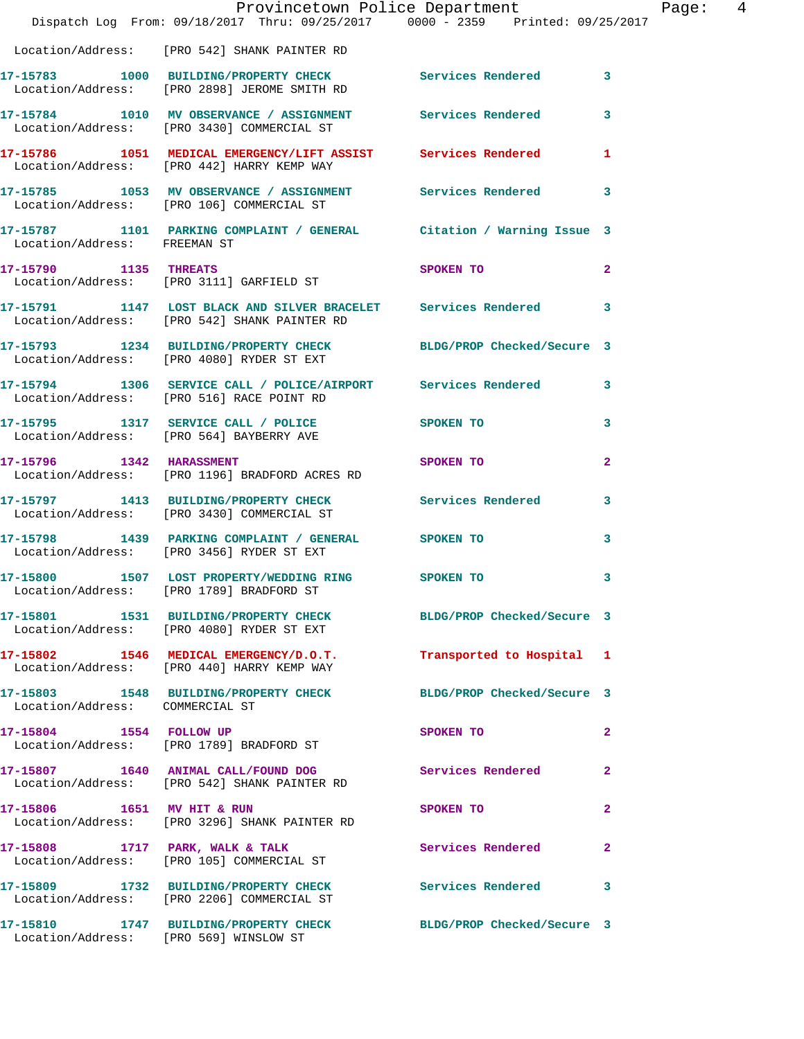|                                 | Provincetown Police Department<br>Dispatch Log From: 09/18/2017 Thru: 09/25/2017 0000 - 2359 Printed: 09/25/2017 |                           |                |
|---------------------------------|------------------------------------------------------------------------------------------------------------------|---------------------------|----------------|
|                                 | Location/Address: [PRO 542] SHANK PAINTER RD                                                                     |                           |                |
|                                 | 17-15783 1000 BUILDING/PROPERTY CHECK Services Rendered<br>Location/Address: [PRO 2898] JEROME SMITH RD          |                           | $\mathbf{3}$   |
|                                 | 17-15784 1010 MV OBSERVANCE / ASSIGNMENT Services Rendered<br>Location/Address: [PRO 3430] COMMERCIAL ST         |                           | 3              |
|                                 | 17-15786 1051 MEDICAL EMERGENCY/LIFT ASSIST Services Rendered<br>Location/Address: [PRO 442] HARRY KEMP WAY      |                           | 1              |
|                                 | 17-15785 1053 MV OBSERVANCE / ASSIGNMENT Services Rendered<br>Location/Address: [PRO 106] COMMERCIAL ST          |                           | 3              |
| Location/Address: FREEMAN ST    | 17-15787 1101 PARKING COMPLAINT / GENERAL Citation / Warning Issue 3                                             |                           |                |
| 17-15790 1135 THREATS           | Location/Address: [PRO 3111] GARFIELD ST                                                                         | SPOKEN TO                 | $\overline{a}$ |
|                                 | 17-15791 1147 LOST BLACK AND SILVER BRACELET Services Rendered<br>Location/Address: [PRO 542] SHANK PAINTER RD   |                           | 3              |
|                                 | 17-15793 1234 BUILDING/PROPERTY CHECK BLDG/PROP Checked/Secure 3<br>Location/Address: [PRO 4080] RYDER ST EXT    |                           |                |
|                                 | 17-15794 1306 SERVICE CALL / POLICE/AIRPORT Services Rendered<br>Location/Address: [PRO 516] RACE POINT RD       |                           | 3              |
|                                 | 17-15795 1317 SERVICE CALL / POLICE SPOKEN TO<br>Location/Address: [PRO 564] BAYBERRY AVE                        |                           | 3              |
|                                 | 17-15796 1342 HARASSMENT<br>Location/Address: [PRO 1196] BRADFORD ACRES RD                                       | SPOKEN TO                 | $\overline{a}$ |
|                                 | 17-15797 1413 BUILDING/PROPERTY CHECK Services Rendered<br>Location/Address: [PRO 3430] COMMERCIAL ST            |                           | 3              |
|                                 | 17-15798 1439 PARKING COMPLAINT / GENERAL SPOKEN TO<br>Location/Address: [PRO 3456] RYDER ST EXT                 |                           | 3              |
|                                 | 17-15800 1507 LOST PROPERTY/WEDDING RING SPOKEN TO<br>Location/Address: [PRO 1789] BRADFORD ST                   |                           | 3              |
|                                 | 17-15801 1531 BUILDING/PROPERTY CHECK BLDG/PROP Checked/Secure 3<br>Location/Address: [PRO 4080] RYDER ST EXT    |                           |                |
|                                 | 17-15802 1546 MEDICAL EMERGENCY/D.O.T.<br>Location/Address: [PRO 440] HARRY KEMP WAY                             | Transported to Hospital 1 |                |
| Location/Address: COMMERCIAL ST | 17-15803 1548 BUILDING/PROPERTY CHECK BLDG/PROP Checked/Secure 3                                                 |                           |                |
| 17-15804 1554 FOLLOW UP         | Location/Address: [PRO 1789] BRADFORD ST                                                                         | SPOKEN TO                 | $\mathbf{2}$   |
|                                 | 17-15807 1640 ANIMAL CALL/FOUND DOG Services Rendered<br>Location/Address: [PRO 542] SHANK PAINTER RD            |                           | $\mathbf{2}$   |
| 17-15806 1651 MV HIT & RUN      | Location/Address: [PRO 3296] SHANK PAINTER RD                                                                    | SPOKEN TO                 | $\mathbf{2}$   |
|                                 | 17-15808 1717 PARK, WALK & TALK<br>Location/Address: [PRO 105] COMMERCIAL ST                                     | Services Rendered         | $\overline{2}$ |
|                                 | 17-15809 1732 BUILDING/PROPERTY CHECK Services Rendered<br>Location/Address: [PRO 2206] COMMERCIAL ST            |                           | 3              |
|                                 | 17-15810 1747 BUILDING/PROPERTY CHECK BLDG/PROP Checked/Secure 3<br>Location/Address: [PRO 569] WINSLOW ST       |                           |                |

Page: 4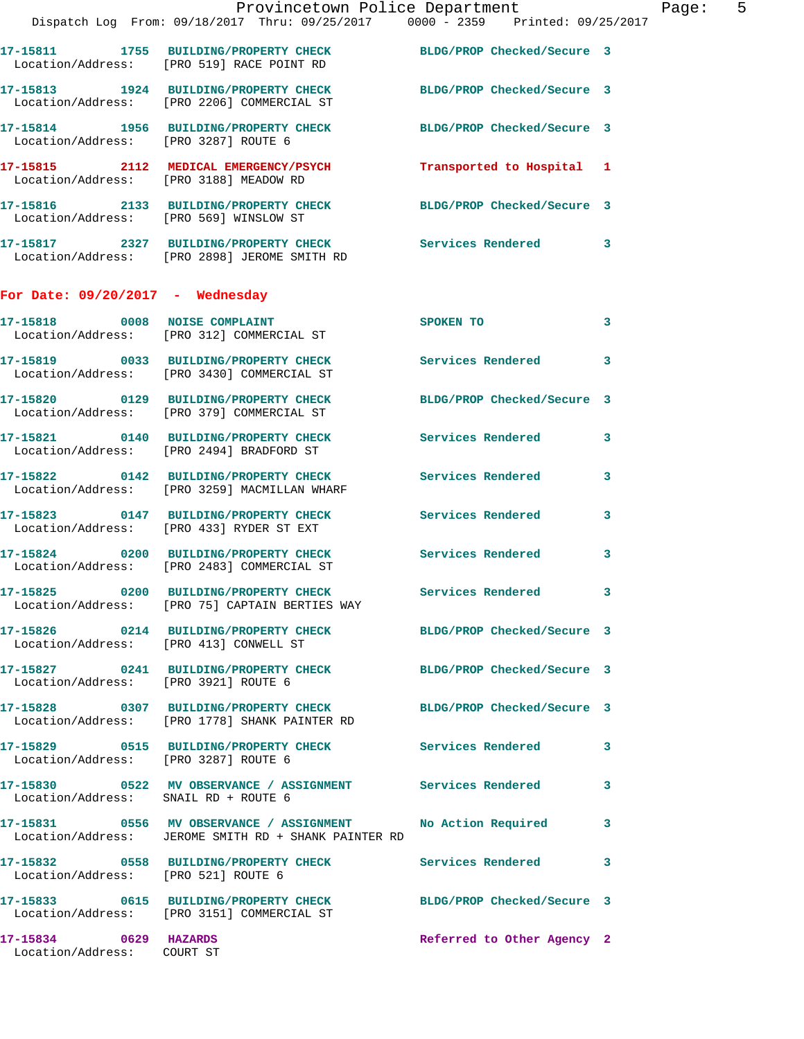|                                      | Provincetown Police Department Fage: 5<br>Dispatch Log From: 09/18/2017 Thru: 09/25/2017 0000 - 2359 Printed: 09/25/2017 |                     |                         |
|--------------------------------------|--------------------------------------------------------------------------------------------------------------------------|---------------------|-------------------------|
|                                      | 17-15811 1755 BUILDING/PROPERTY CHECK BLDG/PROP Checked/Secure 3<br>Location/Address: [PRO 519] RACE POINT RD            |                     |                         |
|                                      | 17-15813 1924 BUILDING/PROPERTY CHECK BLDG/PROP Checked/Secure 3<br>Location/Address: [PRO 2206] COMMERCIAL ST           |                     |                         |
|                                      | 17-15814 1956 BUILDING/PROPERTY CHECK BLDG/PROP Checked/Secure 3<br>Location/Address: [PRO 3287] ROUTE 6                 |                     |                         |
|                                      | 17-15815 2112 MEDICAL EMERGENCY/PSYCH Transported to Hospital 1<br>Location/Address: [PRO 3188] MEADOW RD                |                     |                         |
|                                      | 17-15816 2133 BUILDING/PROPERTY CHECK BLDG/PROP Checked/Secure 3<br>Location/Address: [PRO 569] WINSLOW ST               |                     |                         |
|                                      | 17-15817 2327 BUILDING/PROPERTY CHECK Services Rendered 3<br>Location/Address: [PRO 2898] JEROME SMITH RD                |                     |                         |
| For Date: $09/20/2017$ - Wednesday   |                                                                                                                          |                     |                         |
|                                      | 17-15818 0008 NOISE COMPLAINT SPOKEN TO<br>Location/Address: [PRO 312] COMMERCIAL ST                                     |                     | $\overline{\mathbf{3}}$ |
|                                      | 17-15819 0033 BUILDING/PROPERTY CHECK Services Rendered 3<br>Location/Address: [PRO 3430] COMMERCIAL ST                  |                     |                         |
|                                      | 17-15820 0129 BUILDING/PROPERTY CHECK BLDG/PROP Checked/Secure 3<br>Location/Address: [PRO 379] COMMERCIAL ST            |                     |                         |
|                                      | 17-15821 0140 BUILDING/PROPERTY CHECK Services Rendered 3<br>Location/Address: [PRO 2494] BRADFORD ST                    |                     |                         |
|                                      | 17-15822 0142 BUILDING/PROPERTY CHECK Services Rendered 3<br>Location/Address: [PRO 3259] MACMILLAN WHARF                |                     |                         |
|                                      | 17-15823 0147 BUILDING/PROPERTY CHECK Services Rendered 3<br>Location/Address: [PRO 433] RYDER ST EXT                    |                     |                         |
|                                      | 17-15824 0200 BUILDING/PROPERTY CHECK Services Rendered 3<br>Location/Address: [PRO 2483] COMMERCIAL ST                  |                     |                         |
|                                      | 17-15825 0200 BUILDING/PROPERTY CHECK<br>Location/Address: [PRO 75] CAPTAIN BERTIES WAY                                  | Services Rendered 3 |                         |
|                                      | 17-15826 0214 BUILDING/PROPERTY CHECK BLDG/PROP Checked/Secure 3<br>Location/Address: [PRO 413] CONWELL ST               |                     |                         |
| Location/Address: [PRO 3921] ROUTE 6 | 17-15827 0241 BUILDING/PROPERTY CHECK BLDG/PROP Checked/Secure 3                                                         |                     |                         |
|                                      | 17-15828 0307 BUILDING/PROPERTY CHECK BLDG/PROP Checked/Secure 3<br>Location/Address: [PRO 1778] SHANK PAINTER RD        |                     |                         |
| Location/Address: [PRO 3287] ROUTE 6 | 17-15829 0515 BUILDING/PROPERTY CHECK Services Rendered 3                                                                |                     |                         |
| Location/Address: SNAIL RD + ROUTE 6 | 17-15830 0522 MV OBSERVANCE / ASSIGNMENT Services Rendered 3                                                             |                     |                         |
|                                      | 17-15831 0556 MV OBSERVANCE / ASSIGNMENT No Action Required 3<br>Location/Address: JEROME SMITH RD + SHANK PAINTER RD    |                     |                         |
| Location/Address: [PRO 521] ROUTE 6  | 17-15832 0558 BUILDING/PROPERTY CHECK Services Rendered 3                                                                |                     |                         |
|                                      | 17-15833 0615 BUILDING/PROPERTY CHECK BLDG/PROP Checked/Secure 3                                                         |                     |                         |

 Location/Address: [PRO 3151] COMMERCIAL ST **17-15834 0629 HAZARDS Referred to Other Agency 2** 

Location/Address: COURT ST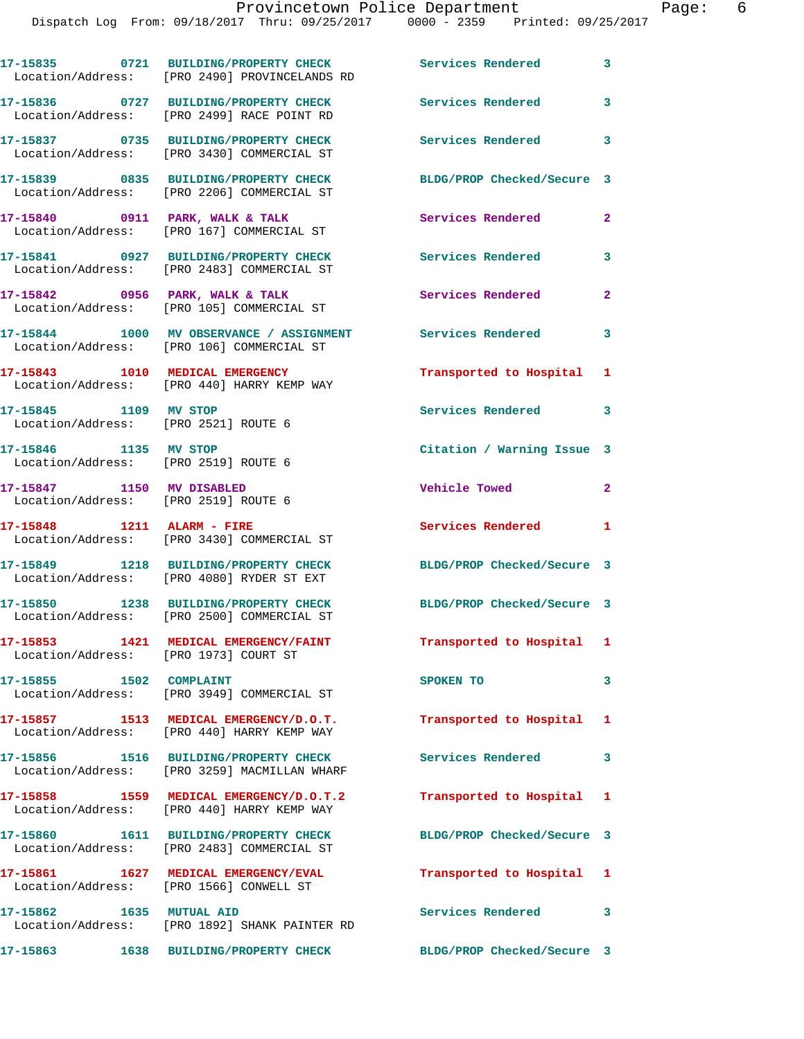|                           | 17-15835 0721 BUILDING/PROPERTY CHECK<br>Location/Address: [PRO 2490] PROVINCELANDS RD                    | <b>Services Rendered</b>   | 3              |
|---------------------------|-----------------------------------------------------------------------------------------------------------|----------------------------|----------------|
|                           | 17-15836 0727 BUILDING/PROPERTY CHECK<br>Location/Address: [PRO 2499] RACE POINT RD                       | Services Rendered          | 3              |
|                           | 17-15837 0735 BUILDING/PROPERTY CHECK<br>Location/Address: [PRO 3430] COMMERCIAL ST                       | <b>Services Rendered</b>   | 3              |
|                           | 17-15839 0835 BUILDING/PROPERTY CHECK<br>Location/Address: [PRO 2206] COMMERCIAL ST                       | BLDG/PROP Checked/Secure 3 |                |
|                           | 17-15840 0911 PARK, WALK & TALK<br>Location/Address: [PRO 167] COMMERCIAL ST                              | Services Rendered          | $\mathbf{2}$   |
|                           | 17-15841 0927 BUILDING/PROPERTY CHECK<br>Location/Address: [PRO 2483] COMMERCIAL ST                       | Services Rendered          | 3              |
|                           | $17-15842$ 0956 PARK, WALK & TALK<br>Location/Address: [PRO 105] COMMERCIAL ST                            | Services Rendered          | $\mathbf{2}$   |
|                           | 17-15844 1000 MV OBSERVANCE / ASSIGNMENT Services Rendered 3<br>Location/Address: [PRO 106] COMMERCIAL ST |                            |                |
|                           | 17-15843 1010 MEDICAL EMERGENCY<br>Location/Address: [PRO 440] HARRY KEMP WAY                             | Transported to Hospital 1  |                |
| 17-15845 1109 MV STOP     | Location/Address: [PRO 2521] ROUTE 6                                                                      | Services Rendered 3        |                |
|                           | 17-15846 1135 MV STOP<br>Location/Address: [PRO 2519] ROUTE 6                                             | Citation / Warning Issue 3 |                |
| 17-15847 1150 MV DISABLED | Location/Address: [PRO 2519] ROUTE 6                                                                      | Vehicle Towed              | $\overline{2}$ |
|                           | Location/Address: [PRO 3430] COMMERCIAL ST                                                                | <b>Services Rendered</b>   | $\blacksquare$ |
|                           | 17-15849 1218 BUILDING/PROPERTY CHECK<br>Location/Address: [PRO 4080] RYDER ST EXT                        | BLDG/PROP Checked/Secure 3 |                |
|                           | 17-15850 1238 BUILDING/PROPERTY CHECK<br>Location/Address: [PRO 2500] COMMERCIAL ST                       | BLDG/PROP Checked/Secure 3 |                |
|                           | 17-15853 1421 MEDICAL EMERGENCY/FAINT<br>Location/Address: [PRO 1973] COURT ST                            | Transported to Hospital 1  |                |
| 17-15855 1502 COMPLAINT   | Location/Address: [PRO 3949] COMMERCIAL ST                                                                | SPOKEN TO                  | 3              |
|                           | 17-15857 1513 MEDICAL EMERGENCY/D.O.T.<br>Location/Address: [PRO 440] HARRY KEMP WAY                      | Transported to Hospital 1  |                |
|                           | 17-15856 1516 BUILDING/PROPERTY CHECK<br>Location/Address: [PRO 3259] MACMILLAN WHARF                     | <b>Services Rendered</b>   | 3              |
|                           | 17-15858 1559 MEDICAL EMERGENCY/D.O.T.2<br>Location/Address: [PRO 440] HARRY KEMP WAY                     | Transported to Hospital 1  |                |
|                           | 17-15860   1611 BUILDING/PROPERTY CHECK<br>Location/Address: [PRO 2483] COMMERCIAL ST                     | BLDG/PROP Checked/Secure 3 |                |
|                           | 17-15861 1627 MEDICAL EMERGENCY/EVAL<br>Location/Address: [PRO 1566] CONWELL ST                           | Transported to Hospital 1  |                |
| 17-15862 1635 MUTUAL AID  | Location/Address: [PRO 1892] SHANK PAINTER RD                                                             | Services Rendered          | 3              |
|                           | 17-15863 1638 BUILDING/PROPERTY CHECK                                                                     | BLDG/PROP Checked/Secure 3 |                |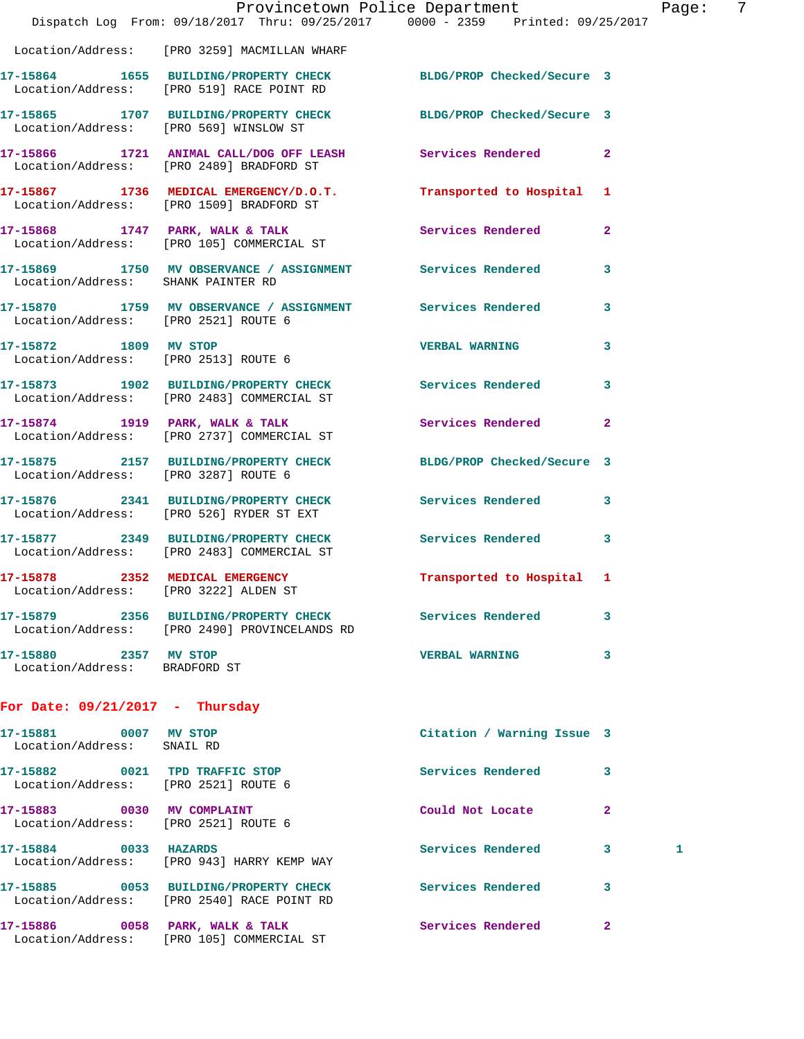|                                                                    | Dispatch Log From: 09/18/2017 Thru: 09/25/2017 0000 - 2359 Printed: 09/25/2017                                        | Provincetown Police Department |                | Page: 7 |
|--------------------------------------------------------------------|-----------------------------------------------------------------------------------------------------------------------|--------------------------------|----------------|---------|
|                                                                    | Location/Address: [PRO 3259] MACMILLAN WHARF                                                                          |                                |                |         |
|                                                                    | 17-15864   1655   BUILDING/PROPERTY CHECK   BLDG/PROP Checked/Secure   3<br>Location/Address: [PRO 519] RACE POINT RD |                                |                |         |
|                                                                    | 17-15865 1707 BUILDING/PROPERTY CHECK BLDG/PROP Checked/Secure 3<br>Location/Address: [PRO 569] WINSLOW ST            |                                |                |         |
|                                                                    | 17-15866 1721 ANIMAL CALL/DOG OFF LEASH Services Rendered 2<br>Location/Address: [PRO 2489] BRADFORD ST               |                                |                |         |
|                                                                    | 17-15867 1736 MEDICAL EMERGENCY/D.O.T. Transported to Hospital 1<br>Location/Address: [PRO 1509] BRADFORD ST          |                                |                |         |
|                                                                    | 17-15868 1747 PARK, WALK & TALK 1999 Services Rendered<br>Location/Address: [PRO 105] COMMERCIAL ST                   |                                | $\mathbf{2}$   |         |
| Location/Address: SHANK PAINTER RD                                 | 17-15869 1750 MV OBSERVANCE / ASSIGNMENT Services Rendered                                                            |                                | 3              |         |
| Location/Address: [PRO 2521] ROUTE 6                               | 17-15870 1759 MV OBSERVANCE / ASSIGNMENT Services Rendered                                                            |                                | 3              |         |
| Location/Address: [PRO 2513] ROUTE 6                               | 17-15872 1809 MV STOP                                                                                                 | <b>VERBAL WARNING</b>          | 3              |         |
|                                                                    | 17-15873 1902 BUILDING/PROPERTY CHECK Services Rendered 3<br>Location/Address: [PRO 2483] COMMERCIAL ST               |                                |                |         |
|                                                                    | 17-15874 1919 PARK, WALK & TALK SERVICES Rendered Location/Address: [PRO 2737] COMMERCIAL ST                          |                                | $\overline{2}$ |         |
|                                                                    | 17-15875 2157 BUILDING/PROPERTY CHECK BLDG/PROP Checked/Secure 3<br>Location/Address: [PRO 3287] ROUTE 6              |                                |                |         |
|                                                                    | 17-15876 2341 BUILDING/PROPERTY CHECK Services Rendered<br>Location/Address: [PRO 526] RYDER ST EXT                   |                                | $\mathbf{3}$   |         |
|                                                                    | 17-15877 2349 BUILDING/PROPERTY CHECK Services Rendered<br>Location/Address: [PRO 2483] COMMERCIAL ST                 |                                | 3              |         |
| Location/Address: [PRO 3222] ALDEN ST                              | 17-15878 2352 MEDICAL EMERGENCY Transported to Hospital 1                                                             |                                |                |         |
|                                                                    | 17-15879 2356 BUILDING/PROPERTY CHECK Services Rendered<br>Location/Address: [PRO 2490] PROVINCELANDS RD              |                                | 3              |         |
| 17-15880 2357 MV STOP<br>Location/Address: BRADFORD ST             |                                                                                                                       | <b>VERBAL WARNING</b>          | 3              |         |
| For Date: $09/21/2017$ - Thursday                                  |                                                                                                                       |                                |                |         |
| 17-15881 0007 MV STOP<br>Location/Address: SNAIL RD                |                                                                                                                       | Citation / Warning Issue 3     |                |         |
| Location/Address: [PRO 2521] ROUTE 6                               | 17-15882 0021 TPD TRAFFIC STOP                                                                                        | Services Rendered              | 3              |         |
| 17-15883 0030 MV COMPLAINT<br>Location/Address: [PRO 2521] ROUTE 6 |                                                                                                                       | Could Not Locate               | 2              |         |
| 17-15884 0033 HAZARDS                                              | Location/Address: [PRO 943] HARRY KEMP WAY                                                                            | Services Rendered              | 3<br>1         |         |
|                                                                    | 17-15885 0053 BUILDING/PROPERTY CHECK Services Rendered<br>Location/Address: [PRO 2540] RACE POINT RD                 |                                | 3              |         |
|                                                                    | 17-15886 0058 PARK, WALK & TALK<br>Location/Address: [PRO 105] COMMERCIAL ST                                          | Services Rendered              | 2              |         |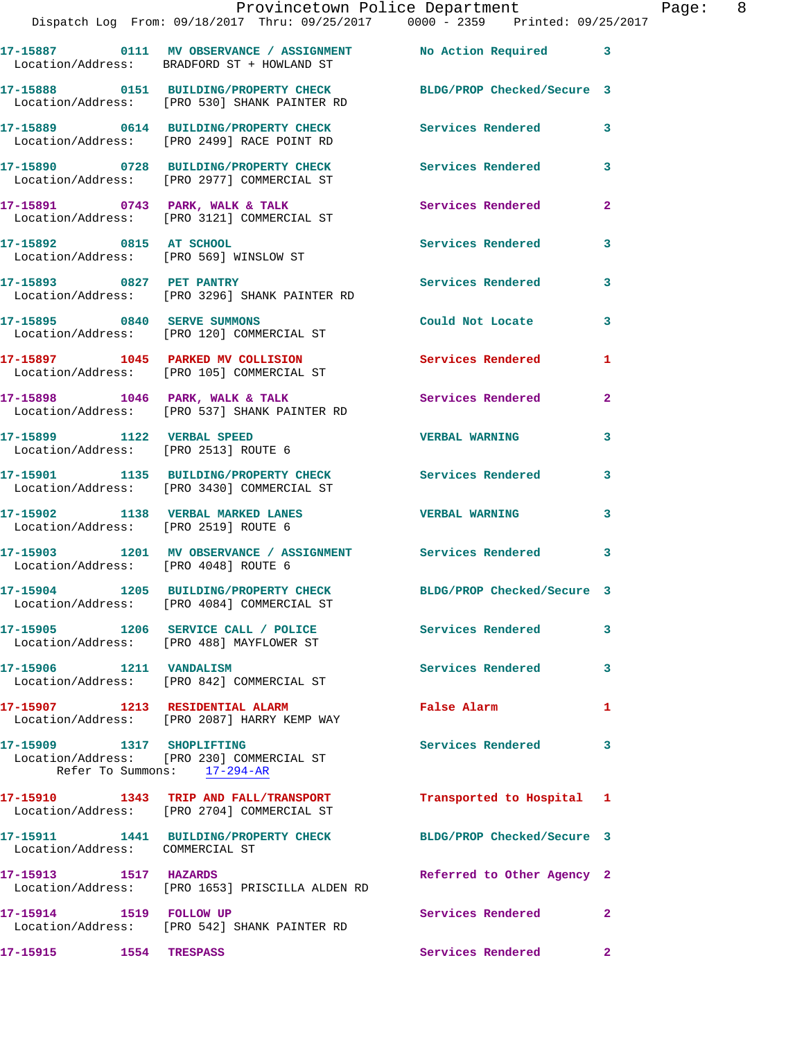|                                                      | Provincetown Police Department                                                        |                            |   |
|------------------------------------------------------|---------------------------------------------------------------------------------------|----------------------------|---|
|                                                      | Dispatch Log From: 09/18/2017 Thru: 09/25/2017 0000 - 2359 Printed: 09/25/2017        |                            |   |
|                                                      | Location/Address: BRADFORD ST + HOWLAND ST                                            | No Action Required         | 3 |
|                                                      | 17-15888 0151 BUILDING/PROPERTY CHECK<br>Location/Address: [PRO 530] SHANK PAINTER RD | BLDG/PROP Checked/Secure 3 |   |
|                                                      | 17-15889 0614 BUILDING/PROPERTY CHECK<br>Location/Address: [PRO 2499] RACE POINT RD   | Services Rendered          | 3 |
|                                                      | 17-15890 0728 BUILDING/PROPERTY CHECK<br>Location/Address: [PRO 2977] COMMERCIAL ST   | Services Rendered          | 3 |
| 17-15891 0743 PARK, WALK & TALK<br>Location/Address: | [PRO 3121] COMMERCIAL ST                                                              | Services Rendered          | 2 |

**17-15892 0815 AT SCHOOL Services Rendered 3**  Location/Address: [PRO 569] WINSLOW ST

**17-15893 0827 PET PANTRY Services Rendered 3**  Location/Address: [PRO 3296] SHANK PAINTER RD

Location/Address: [PRO 120] COMMERCIAL ST

Location/Address: [PRO 105] COMMERCIAL ST

Location/Address: [PRO 537] SHANK PAINTER RD

**17-15899 1122 VERBAL SPEED VERBAL WARNING 3**  Location/Address: [PRO 2513] ROUTE 6

Location/Address: [PRO 4048] ROUTE 6

**17-15907 1213 RESIDENTIAL ALARM False Alarm 1** 

**17-15909 1317 SHOPLIFTING Services Rendered 3**  Location/Address: [PRO 230] COMMERCIAL ST Refer To Summons: 17-294-AR

**17-15910 1343 TRIP AND FALL/TRANSPORT Transported to Hospital 1**  Location/Address: [PRO 2704] COMMERCIAL ST

**17-15911 1441 BUILDING/PROPERTY CHECK BLDG/PROP Checked/Secure 3**  Location/Address: COMMERCIAL ST

**17-15913 1517 HAZARDS Referred to Other Agency 2**  Location/Address: [PRO 1653] PRISCILLA ALDEN RD

**17-15914 1519 FOLLOW UP Services Rendered 2**  Location/Address: [PRO 542] SHANK PAINTER RD

**17-15915 1554 TRESPASS Services Rendered 2** 

**17-15895 0840 SERVE SUMMONS Could Not Locate 3 17-15897 1045 PARKED MV COLLISION Services Rendered 1** 

**17-15898 1046 PARK, WALK & TALK Services Rendered 2** 

**17-15901 1135 BUILDING/PROPERTY CHECK Services Rendered 3**  Location/Address: [PRO 3430] COMMERCIAL ST

**17-15902 1138 VERBAL MARKED LANES VERBAL WARNING 3**  Location/Address: [PRO 2519] ROUTE 6

**17-15903 1201 MV OBSERVANCE / ASSIGNMENT Services Rendered 3** 

**17-15904 1205 BUILDING/PROPERTY CHECK BLDG/PROP Checked/Secure 3**  Location/Address: [PRO 4084] COMMERCIAL ST

**17-15905 1206 SERVICE CALL / POLICE Services Rendered 3**  Location/Address: [PRO 488] MAYFLOWER ST

**17-15906 1211 VANDALISM Services Rendered 3**  Location/Address: [PRO 842] COMMERCIAL ST

## Location/Address: [PRO 2087] HARRY KEMP WAY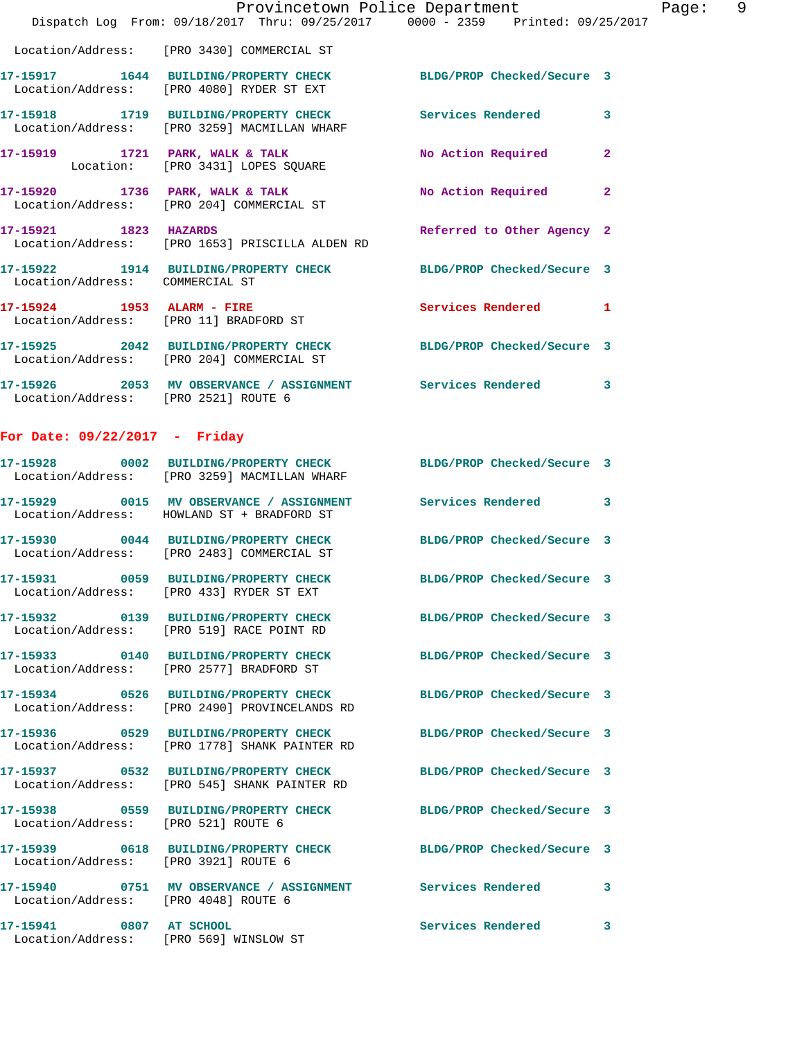|                                      | Provincetown Police Department                                                                                   |                            |              |
|--------------------------------------|------------------------------------------------------------------------------------------------------------------|----------------------------|--------------|
|                                      | Dispatch Log From: 09/18/2017 Thru: 09/25/2017 0000 - 2359 Printed: 09/25/2017                                   |                            |              |
|                                      | Location/Address: [PRO 3430] COMMERCIAL ST                                                                       |                            |              |
|                                      | 17-15917 1644 BUILDING/PROPERTY CHECK BLDG/PROP Checked/Secure 3<br>Location/Address: [PRO 4080] RYDER ST EXT    |                            |              |
|                                      | 17-15918 1719 BUILDING/PROPERTY CHECK Services Rendered<br>Location/Address: [PRO 3259] MACMILLAN WHARF          |                            | 3            |
|                                      | 17-15919 1721 PARK, WALK & TALK<br>Location: [PRO 3431] LOPES SQUARE                                             | No Action Required         | $\mathbf{2}$ |
|                                      | 17-15920 1736 PARK, WALK & TALK<br>Location/Address: [PRO 204] COMMERCIAL ST                                     | No Action Required         | $\mathbf{2}$ |
|                                      | 17-15921 1823 HAZARDS<br>Location/Address: [PRO 1653] PRISCILLA ALDEN RD                                         | Referred to Other Agency 2 |              |
| Location/Address: COMMERCIAL ST      | 17-15922 1914 BUILDING/PROPERTY CHECK BLDG/PROP Checked/Secure 3                                                 |                            |              |
|                                      | 17-15924 1953 ALARM - FIRE<br>Location/Address: [PRO 11] BRADFORD ST                                             | <b>Services Rendered</b>   | 1            |
|                                      | 17-15925 2042 BUILDING/PROPERTY CHECK BLDG/PROP Checked/Secure 3<br>Location/Address: [PRO 204] COMMERCIAL ST    |                            |              |
| Location/Address: [PRO 2521] ROUTE 6 | 17-15926 2053 MV OBSERVANCE / ASSIGNMENT Services Rendered                                                       |                            | 3            |
| For Date: $09/22/2017$ - Friday      |                                                                                                                  |                            |              |
|                                      | 17-15928 0002 BUILDING/PROPERTY CHECK BLDG/PROP Checked/Secure 3<br>Location/Address: [PRO 3259] MACMILLAN WHARF |                            |              |
|                                      | 17-15929 0015 MV OBSERVANCE / ASSIGNMENT Services Rendered                                                       |                            | 3            |

Location/Address: HOWLAND ST + BRADFORD ST

Location/Address: [PRO 2483] COMMERCIAL ST

Location/Address: [PRO 433] RYDER ST EXT

Location/Address: [PRO 519] RACE POINT RD

Location/Address: [PRO 2577] BRADFORD ST

Location/Address: [PRO 2490] PROVINCELANDS RD

Location/Address: [PRO 1778] SHANK PAINTER RD

Location/Address: [PRO 545] SHANK PAINTER RD

Location/Address: [PRO 521] ROUTE 6

Location/Address: [PRO 3921] ROUTE 6

Location/Address: [PRO 4048] ROUTE 6

**17-15941 0807 AT SCHOOL Services Rendered 3**  Location/Address: [PRO 569] WINSLOW ST

**17-15930 0044 BUILDING/PROPERTY CHECK BLDG/PROP Checked/Secure 3 17-15931 0059 BUILDING/PROPERTY CHECK BLDG/PROP Checked/Secure 3 17-15932 0139 BUILDING/PROPERTY CHECK BLDG/PROP Checked/Secure 3 17-15933 0140 BUILDING/PROPERTY CHECK BLDG/PROP Checked/Secure 3 17-15934 0526 BUILDING/PROPERTY CHECK BLDG/PROP Checked/Secure 3 17-15936 0529 BUILDING/PROPERTY CHECK BLDG/PROP Checked/Secure 3 17-15937 0532 BUILDING/PROPERTY CHECK BLDG/PROP Checked/Secure 3 17-15938 0559 BUILDING/PROPERTY CHECK BLDG/PROP Checked/Secure 3 17-15939 0618 BUILDING/PROPERTY CHECK BLDG/PROP Checked/Secure 3 17-15940 0751 MV OBSERVANCE / ASSIGNMENT Services Rendered 3**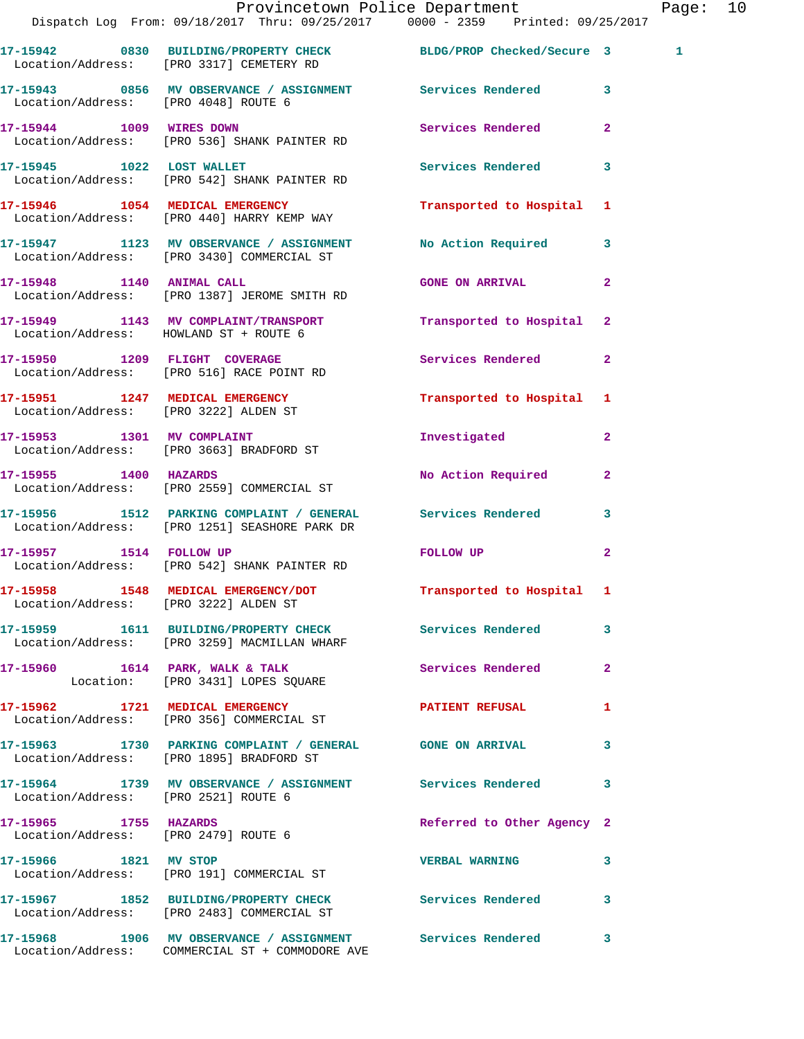|                                        | Provincetown Police Department<br>Dispatch Log From: 09/18/2017 Thru: 09/25/2017 0000 - 2359 Printed: 09/25/2017 |                                                                                                                                                                                                                               |              | Page: 10 |  |
|----------------------------------------|------------------------------------------------------------------------------------------------------------------|-------------------------------------------------------------------------------------------------------------------------------------------------------------------------------------------------------------------------------|--------------|----------|--|
|                                        | 17-15942 0830 BUILDING/PROPERTY CHECK BLDG/PROP Checked/Secure 3<br>Location/Address: [PRO 3317] CEMETERY RD     |                                                                                                                                                                                                                               |              | 1        |  |
| Location/Address: [PRO 4048] ROUTE 6   | 17-15943 0856 MV OBSERVANCE / ASSIGNMENT Services Rendered 3                                                     |                                                                                                                                                                                                                               |              |          |  |
|                                        | 17-15944 1009 WIRES DOWN<br>Location/Address: [PRO 536] SHANK PAINTER RD                                         | Services Rendered 2                                                                                                                                                                                                           |              |          |  |
|                                        | 17-15945 1022 LOST WALLET Services Rendered 3<br>Location/Address: [PRO 542] SHANK PAINTER RD                    |                                                                                                                                                                                                                               |              |          |  |
|                                        | 17-15946 1054 MEDICAL EMERGENCY<br>Location/Address: [PRO 440] HARRY KEMP WAY                                    | Transported to Hospital 1                                                                                                                                                                                                     |              |          |  |
|                                        | 17-15947 1123 MV OBSERVANCE / ASSIGNMENT No Action Required 3<br>Location/Address: [PRO 3430] COMMERCIAL ST      |                                                                                                                                                                                                                               |              |          |  |
|                                        | 17-15948 1140 ANIMAL CALL<br>Location/Address: [PRO 1387] JEROME SMITH RD                                        | GONE ON ARRIVAL 2                                                                                                                                                                                                             |              |          |  |
| Location/Address: HOWLAND ST + ROUTE 6 | 17-15949 1143 MV COMPLAINT/TRANSPORT                                                                             | Transported to Hospital 2                                                                                                                                                                                                     |              |          |  |
|                                        | 17-15950 1209 FLIGHT COVERAGE<br>Location/Address: [PRO 516] RACE POINT RD                                       | Services Rendered 2                                                                                                                                                                                                           |              |          |  |
| Location/Address: [PRO 3222] ALDEN ST  | 17-15951 1247 MEDICAL EMERGENCY                                                                                  | Transported to Hospital 1                                                                                                                                                                                                     |              |          |  |
|                                        | 17-15953 1301 MV COMPLAINT<br>Location/Address: [PRO 3663] BRADFORD ST                                           | Investigated                                                                                                                                                                                                                  | $\mathbf{2}$ |          |  |
|                                        | 17-15955 1400 HAZARDS<br>Location/Address: [PRO 2559] COMMERCIAL ST                                              | No Action Required                                                                                                                                                                                                            | $\mathbf{2}$ |          |  |
|                                        | 17-15956 1512 PARKING COMPLAINT / GENERAL Services Rendered 3<br>Location/Address: [PRO 1251] SEASHORE PARK DR   |                                                                                                                                                                                                                               |              |          |  |
|                                        | 17-15957 1514 FOLLOW UP<br>Location/Address: [PRO 542] SHANK PAINTER RD                                          | FOLLOW UP AND THE STATE OF THE STATE OF THE STATE OF THE STATE OF THE STATE OF THE STATE OF THE STATE OF THE STATE OF THE STATE OF THE STATE OF THE STATE OF THE STATE OF THE STATE OF THE STATE OF THE STATE OF THE STATE OF | $\mathbf{2}$ |          |  |
| Location/Address: [PRO 3222] ALDEN ST  | 17-15958 1548 MEDICAL EMERGENCY/DOT Transported to Hospital 1                                                    |                                                                                                                                                                                                                               |              |          |  |
|                                        | 17-15959 1611 BUILDING/PROPERTY CHECK Services Rendered 3<br>Location/Address: [PRO 3259] MACMILLAN WHARF        |                                                                                                                                                                                                                               |              |          |  |
|                                        | 17-15960 1614 PARK, WALK & TALK<br>Location: [PRO 3431] LOPES SQUARE                                             | Services Rendered 2                                                                                                                                                                                                           |              |          |  |
|                                        | 17-15962 1721 MEDICAL EMERGENCY<br>Location/Address: [PRO 356] COMMERCIAL ST                                     | <b>PATIENT REFUSAL</b>                                                                                                                                                                                                        | 1            |          |  |
|                                        | 17-15963 1730 PARKING COMPLAINT / GENERAL GONE ON ARRIVAL 3<br>Location/Address: [PRO 1895] BRADFORD ST          |                                                                                                                                                                                                                               |              |          |  |
| Location/Address: [PRO 2521] ROUTE 6   | 17-15964 1739 MV OBSERVANCE / ASSIGNMENT Services Rendered 3                                                     |                                                                                                                                                                                                                               |              |          |  |
| 17-15965 1755 HAZARDS                  | Location/Address: [PRO 2479] ROUTE 6                                                                             | Referred to Other Agency 2                                                                                                                                                                                                    |              |          |  |
|                                        | 17-15966 1821 MV STOP<br>Location/Address: [PRO 191] COMMERCIAL ST                                               | <b>VERBAL WARNING</b>                                                                                                                                                                                                         | 3            |          |  |
|                                        | 17-15967 1852 BUILDING/PROPERTY CHECK Services Rendered 3<br>Location/Address: [PRO 2483] COMMERCIAL ST          |                                                                                                                                                                                                                               |              |          |  |
|                                        | 17-15968 1906 MV OBSERVANCE / ASSIGNMENT Services Rendered 3<br>Location/Address: COMMERCIAL ST + COMMODORE AVE  |                                                                                                                                                                                                                               |              |          |  |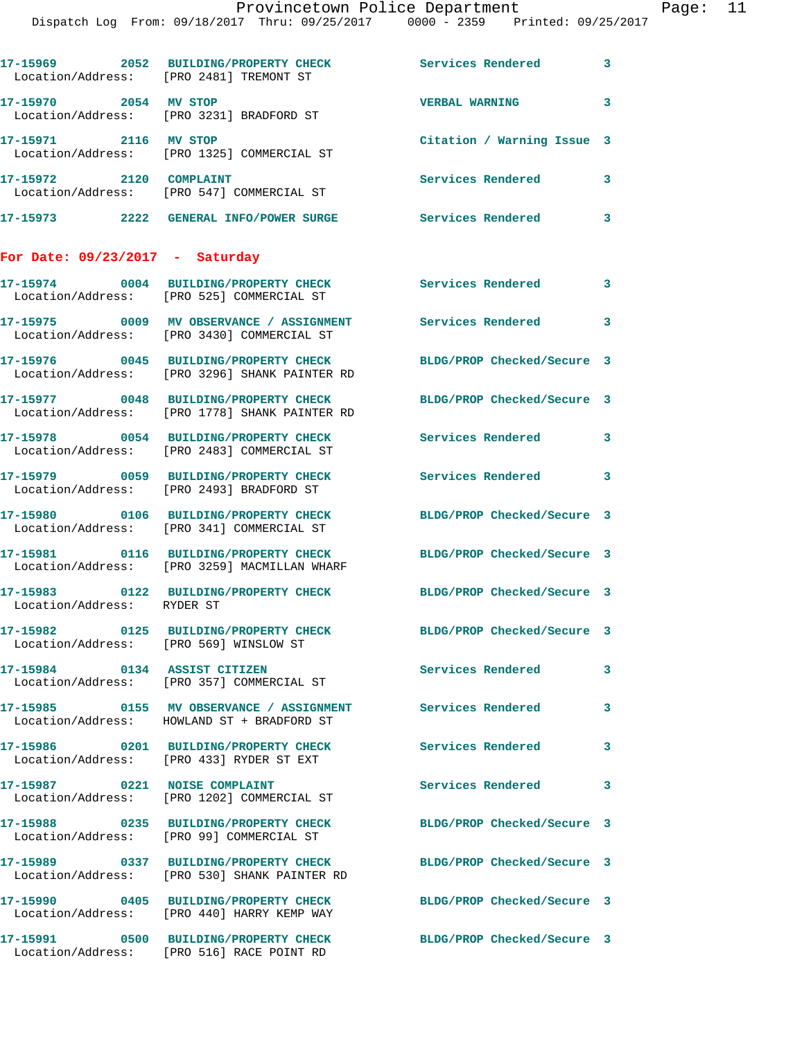Dispatch Log From: 09/18/2017 Thru: 09/25/2017 0000 - 2359 Printed: 09/25/2017

|                                   | 17-15969 2052 BUILDING/PROPERTY CHECK<br>Location/Address: [PRO 2481] TREMONT ST                         | Services Rendered 3                                    |                          |
|-----------------------------------|----------------------------------------------------------------------------------------------------------|--------------------------------------------------------|--------------------------|
| 17-15970 2054 MV STOP             | Location/Address: [PRO 3231] BRADFORD ST                                                                 | <b>VERBAL WARNING</b>                                  | $\mathbf{3}$             |
| 17-15971 2116 MV STOP             | Location/Address: [PRO 1325] COMMERCIAL ST                                                               | Citation / Warning Issue 3                             |                          |
| 17-15972 2120 COMPLAINT           | Location/Address: [PRO 547] COMMERCIAL ST                                                                | Services Rendered                                      | 3                        |
|                                   | 17-15973 2222 GENERAL INFO/POWER SURGE                                                                   | <b>Services Rendered</b>                               | $\overline{\phantom{a}}$ |
| For Date: $09/23/2017$ - Saturday |                                                                                                          |                                                        |                          |
|                                   | 17-15974 0004 BUILDING/PROPERTY CHECK<br>Location/Address: [PRO 525] COMMERCIAL ST                       | Services Rendered 3                                    |                          |
|                                   | 17-15975 0009 MV OBSERVANCE / ASSIGNMENT<br>Location/Address: [PRO 3430] COMMERCIAL ST                   | Services Rendered 3                                    |                          |
|                                   | 17-15976 0045 BUILDING/PROPERTY CHECK<br>Location/Address: [PRO 3296] SHANK PAINTER RD                   | BLDG/PROP Checked/Secure 3                             |                          |
|                                   | 17-15977 0048 BUILDING/PROPERTY CHECK<br>Location/Address: [PRO 1778] SHANK PAINTER RD                   | BLDG/PROP Checked/Secure 3                             |                          |
|                                   | 17-15978 0054 BUILDING/PROPERTY CHECK<br>Location/Address: [PRO 2483] COMMERCIAL ST                      | <b>Services Rendered</b><br>$\overline{\phantom{a}}$ 3 |                          |
|                                   | 17-15979 0059 BUILDING/PROPERTY CHECK<br>Location/Address: [PRO 2493] BRADFORD ST                        | Services Rendered                                      | $\sim$ 3                 |
|                                   | 17-15980 0106 BUILDING/PROPERTY CHECK<br>Location/Address: [PRO 341] COMMERCIAL ST                       | BLDG/PROP Checked/Secure 3                             |                          |
|                                   | 17-15981 0116 BUILDING/PROPERTY CHECK<br>Location/Address: [PRO 3259] MACMILLAN WHARF                    | BLDG/PROP Checked/Secure 3                             |                          |
| Location/Address: RYDER ST        | 17-15983 0122 BUILDING/PROPERTY CHECK BLDG/PROP Checked/Secure 3                                         |                                                        |                          |
| 17-15982                          | 0125 BUILDING/PROPERTY CHECK<br>Location/Address: [PRO 569] WINSLOW ST                                   | BLDG/PROP Checked/Secure 3                             |                          |
|                                   | 17-15984 0134 ASSIST CITIZEN<br>Location/Address: [PRO 357] COMMERCIAL ST                                | <b>Services Rendered</b>                               | 3                        |
|                                   | 17-15985 0155 MV OBSERVANCE / ASSIGNMENT Services Rendered<br>Location/Address: HOWLAND ST + BRADFORD ST |                                                        | 3                        |
|                                   | Location/Address: [PRO 433] RYDER ST EXT                                                                 | <b>Services Rendered</b>                               | 3                        |
|                                   | 17-15987 0221 NOISE COMPLAINT<br>Location/Address: [PRO 1202] COMMERCIAL ST                              | Services Rendered                                      | $\overline{\mathbf{3}}$  |
|                                   | 17-15988 0235 BUILDING/PROPERTY CHECK<br>Location/Address: [PRO 99] COMMERCIAL ST                        | BLDG/PROP Checked/Secure 3                             |                          |
|                                   | 17-15989 0337 BUILDING/PROPERTY CHECK<br>Location/Address: [PRO 530] SHANK PAINTER RD                    | BLDG/PROP Checked/Secure 3                             |                          |
|                                   | 17-15990 0405 BUILDING/PROPERTY CHECK<br>Location/Address: [PRO 440] HARRY KEMP WAY                      | BLDG/PROP Checked/Secure 3                             |                          |
|                                   | 17-15991 0500 BUILDING/PROPERTY CHECK<br>Location/Address: [PRO 516] RACE POINT RD                       | BLDG/PROP Checked/Secure 3                             |                          |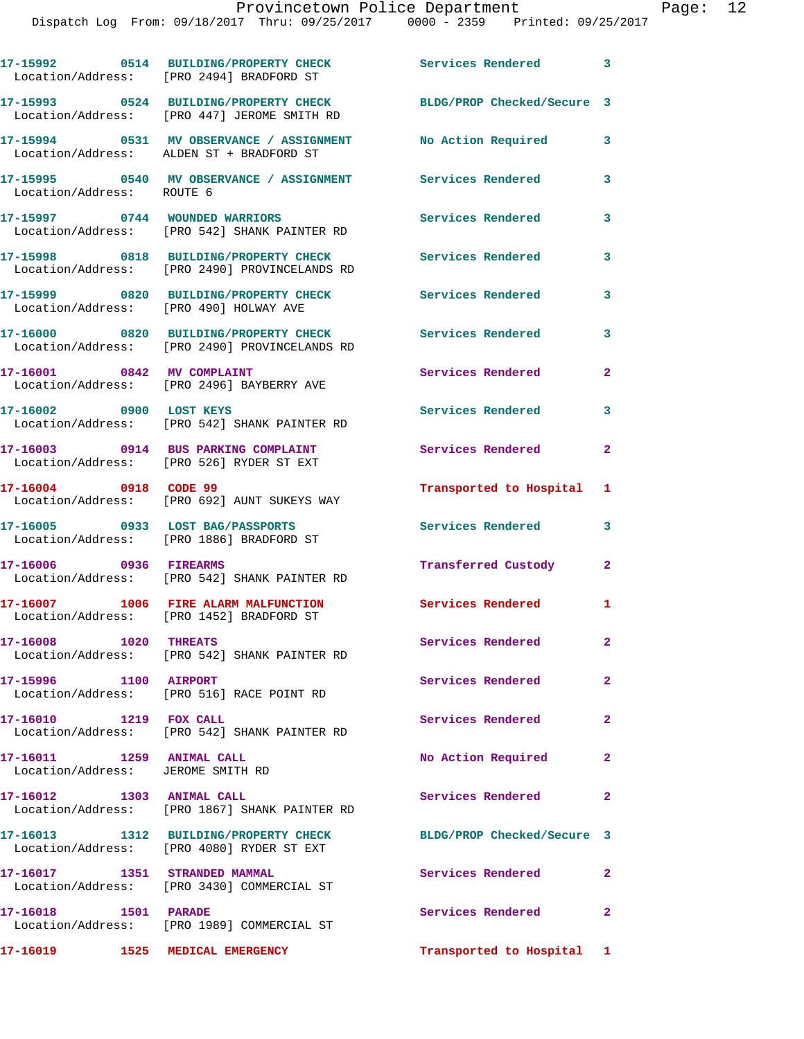|                                                                | 17-15992 0514 BUILDING/PROPERTY CHECK Services Rendered 3<br>Location/Address: [PRO 2494] BRADFORD ST   |                            |                |
|----------------------------------------------------------------|---------------------------------------------------------------------------------------------------------|----------------------------|----------------|
|                                                                | 17-15993 0524 BUILDING/PROPERTY CHECK<br>Location/Address: [PRO 447] JEROME SMITH RD                    | BLDG/PROP Checked/Secure 3 |                |
|                                                                | 17-15994 0531 MV OBSERVANCE / ASSIGNMENT No Action Required<br>Location/Address: ALDEN ST + BRADFORD ST |                            | 3              |
| Location/Address: ROUTE 6                                      | 17-15995 0540 MV OBSERVANCE / ASSIGNMENT Services Rendered                                              |                            | 3              |
| 17-15997 0744 WOUNDED WARRIORS                                 | Location/Address: [PRO 542] SHANK PAINTER RD                                                            | Services Rendered          | 3              |
|                                                                | 17-15998 0818 BUILDING/PROPERTY CHECK<br>Location/Address: [PRO 2490] PROVINCELANDS RD                  | <b>Services Rendered</b>   | 3              |
| Location/Address: [PRO 490] HOLWAY AVE                         | 17-15999 0820 BUILDING/PROPERTY CHECK                                                                   | <b>Services Rendered</b>   | 3              |
|                                                                | 17-16000 0820 BUILDING/PROPERTY CHECK<br>Location/Address: [PRO 2490] PROVINCELANDS RD                  | <b>Services Rendered</b>   | 3              |
| 17-16001 0842 MV COMPLAINT                                     | Location/Address: [PRO 2496] BAYBERRY AVE                                                               | Services Rendered          | $\mathbf{2}$   |
| 17-16002 0900 LOST KEYS                                        | Location/Address: [PRO 542] SHANK PAINTER RD                                                            | Services Rendered          | 3              |
|                                                                | 17-16003 0914 BUS PARKING COMPLAINT<br>Location/Address: [PRO 526] RYDER ST EXT                         | Services Rendered          | $\mathbf{2}$   |
| 17-16004 0918 CODE 99                                          | Location/Address: [PRO 692] AUNT SUKEYS WAY                                                             | Transported to Hospital 1  |                |
|                                                                | 17-16005 0933 LOST BAG/PASSPORTS<br>Location/Address: [PRO 1886] BRADFORD ST                            | Services Rendered          | 3              |
| 17-16006 0936 FIREARMS                                         | Location/Address: [PRO 542] SHANK PAINTER RD                                                            | Transferred Custody        | $\mathbf{2}$   |
|                                                                | 17-16007 1006 FIRE ALARM MALFUNCTION<br>Location/Address: [PRO 1452] BRADFORD ST                        | Services Rendered 1        |                |
| 17-16008 1020 THREATS                                          | Location/Address: [PRO 542] SHANK PAINTER RD                                                            | Services Rendered          | $\mathbf{2}$   |
| 17-15996 1100 AIRPORT                                          | Location/Address: [PRO 516] RACE POINT RD                                                               | Services Rendered          | $\overline{2}$ |
| 17-16010 1219 FOX CALL                                         | Location/Address: [PRO 542] SHANK PAINTER RD                                                            | Services Rendered          | $\overline{2}$ |
| 17-16011 1259 ANIMAL CALL<br>Location/Address: JEROME SMITH RD |                                                                                                         | No Action Required         | $\mathbf{2}$   |
| 17-16012 1303 ANIMAL CALL                                      | Location/Address: [PRO 1867] SHANK PAINTER RD                                                           | Services Rendered          | $\mathbf{2}$   |
|                                                                | 17-16013 1312 BUILDING/PROPERTY CHECK<br>Location/Address: [PRO 4080] RYDER ST EXT                      | BLDG/PROP Checked/Secure 3 |                |
| 17-16017 1351 STRANDED MAMMAL                                  | Location/Address: [PRO 3430] COMMERCIAL ST                                                              | Services Rendered          | $\mathbf{2}$   |
| 17-16018 1501 PARADE                                           | Location/Address: [PRO 1989] COMMERCIAL ST                                                              | Services Rendered          | 2              |
| 17-16019 1525 MEDICAL EMERGENCY                                |                                                                                                         | Transported to Hospital 1  |                |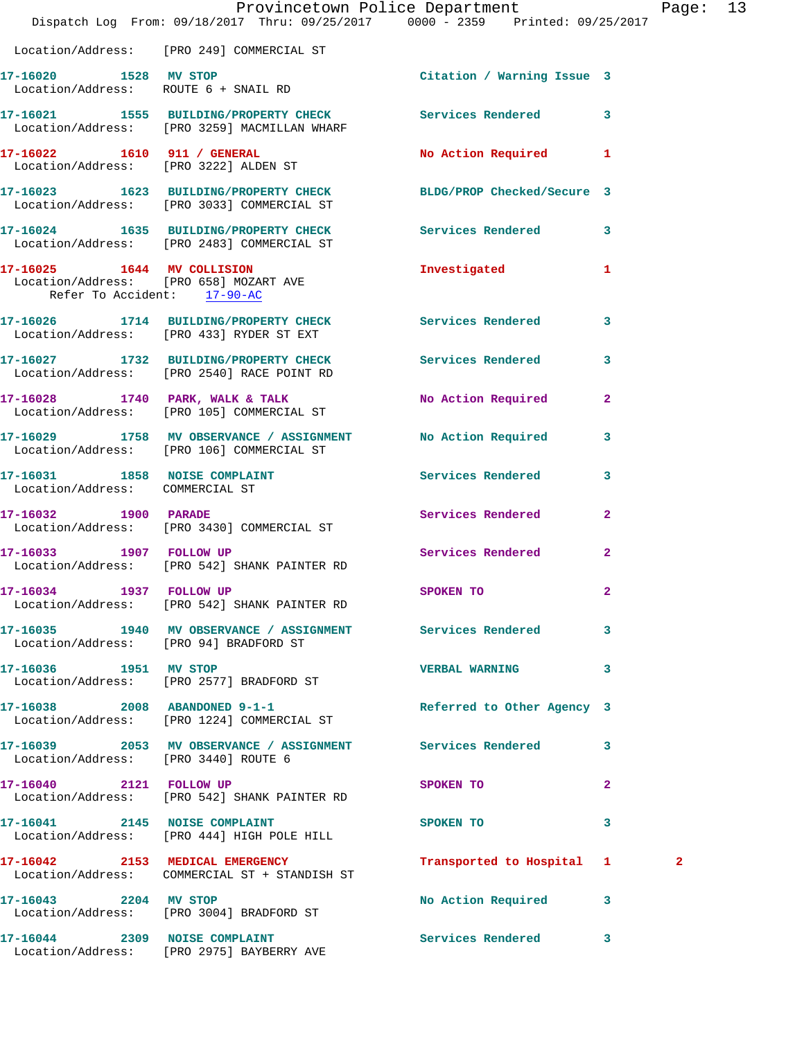|                                        | Dispatch Log From: 09/18/2017 Thru: 09/25/2017 0000 - 2359 Printed: 09/25/2017                                 | Provincetown Police Department Page: 13 |                          |              |  |
|----------------------------------------|----------------------------------------------------------------------------------------------------------------|-----------------------------------------|--------------------------|--------------|--|
|                                        | Location/Address: [PRO 249] COMMERCIAL ST                                                                      |                                         |                          |              |  |
| 17-16020 1528 MV STOP                  | Location/Address: ROUTE 6 + SNAIL RD                                                                           | Citation / Warning Issue 3              |                          |              |  |
|                                        | 17-16021 1555 BUILDING/PROPERTY CHECK Services Rendered 3<br>Location/Address: [PRO 3259] MACMILLAN WHARF      |                                         |                          |              |  |
|                                        | 17-16022 1610 911 / GENERAL<br>Location/Address: [PRO 3222] ALDEN ST                                           | No Action Required 1                    |                          |              |  |
|                                        | 17-16023 1623 BUILDING/PROPERTY CHECK BLDG/PROP Checked/Secure 3<br>Location/Address: [PRO 3033] COMMERCIAL ST |                                         |                          |              |  |
|                                        | 17-16024 1635 BUILDING/PROPERTY CHECK Services Rendered 3<br>Location/Address: [PRO 2483] COMMERCIAL ST        |                                         |                          |              |  |
| Refer To Accident: 17-90-AC            | 17-16025 1644 MV COLLISION<br>Location/Address: [PRO 658] MOZART AVE                                           | Investigated 1                          |                          |              |  |
|                                        | 17-16026 1714 BUILDING/PROPERTY CHECK Services Rendered 3<br>Location/Address: [PRO 433] RYDER ST EXT          |                                         |                          |              |  |
|                                        | 17-16027 1732 BUILDING/PROPERTY CHECK Services Rendered<br>Location/Address: [PRO 2540] RACE POINT RD          |                                         | $\overline{\mathbf{3}}$  |              |  |
|                                        | 17-16028 1740 PARK, WALK & TALK<br>Location/Address: [PRO 105] COMMERCIAL ST                                   | No Action Required 2                    |                          |              |  |
|                                        | 17-16029 1758 MV OBSERVANCE / ASSIGNMENT No Action Required 3<br>Location/Address: [PRO 106] COMMERCIAL ST     |                                         |                          |              |  |
| Location/Address: COMMERCIAL ST        | 17-16031 1858 NOISE COMPLAINT                                                                                  | <b>Services Rendered</b>                | 3                        |              |  |
|                                        | 17-16032 1900 PARADE<br>Location/Address: [PRO 3430] COMMERCIAL ST                                             | Services Rendered 2                     |                          |              |  |
|                                        | 17-16033 1907 FOLLOW UP<br>Location/Address: [PRO 542] SHANK PAINTER RD                                        | Services Rendered                       | $\overline{2}$           |              |  |
| 17-16034 1937 FOLLOW UP                | Location/Address: [PRO 542] SHANK PAINTER RD                                                                   | SPOKEN TO                               |                          |              |  |
| Location/Address: [PRO 94] BRADFORD ST | 17-16035 1940 MV OBSERVANCE / ASSIGNMENT Services Rendered 3                                                   |                                         |                          |              |  |
|                                        | 17-16036 1951 MV STOP<br>Location/Address: [PRO 2577] BRADFORD ST                                              | VERBAL WARNING 3                        |                          |              |  |
|                                        | 17-16038 2008 ABANDONED 9-1-1<br>Location/Address: [PRO 1224] COMMERCIAL ST                                    | Referred to Other Agency 3              |                          |              |  |
| Location/Address: [PRO 3440] ROUTE 6   | 17-16039 2053 MV OBSERVANCE / ASSIGNMENT Services Rendered 3                                                   |                                         |                          |              |  |
|                                        | 17-16040 2121 FOLLOW UP<br>Location/Address: [PRO 542] SHANK PAINTER RD                                        | SPOKEN TO                               | $\mathbf{2}$             |              |  |
|                                        | 17-16041 2145 NOISE COMPLAINT<br>Location/Address: [PRO 444] HIGH POLE HILL                                    | SPOKEN TO                               | $\overline{\phantom{a}}$ |              |  |
|                                        | 17-16042 2153 MEDICAL EMERGENCY<br>Location/Address: COMMERCIAL ST + STANDISH ST                               | Transported to Hospital 1               |                          | $\mathbf{2}$ |  |
| 17-16043 2204 MV STOP                  | Location/Address: [PRO 3004] BRADFORD ST                                                                       | No Action Required 3                    |                          |              |  |
|                                        | 17-16044 2309 NOISE COMPLAINT<br>Location/Address: [PRO 2975] BAYBERRY AVE                                     | Services Rendered 3                     |                          |              |  |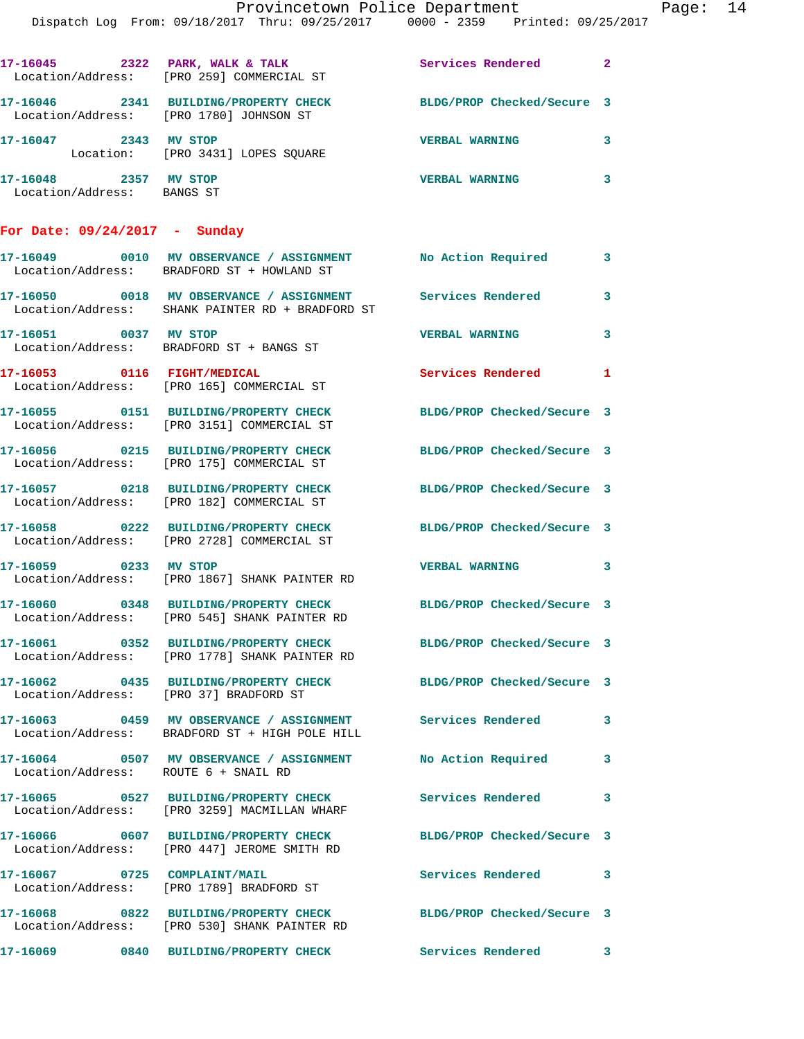|                                                     | 17-16045 2322 PARK, WALK & TALK<br>Location/Address: [PRO 259] COMMERCIAL ST                                   | Services Rendered 2        |                            |
|-----------------------------------------------------|----------------------------------------------------------------------------------------------------------------|----------------------------|----------------------------|
|                                                     | 17-16046 2341 BUILDING/PROPERTY CHECK<br>Location/Address: [PRO 1780] JOHNSON ST                               | BLDG/PROP Checked/Secure 3 |                            |
| 17-16047 2343 MV STOP                               | Location: [PRO 3431] LOPES SQUARE                                                                              | <b>VERBAL WARNING</b>      | 3                          |
| 17-16048 2357 MV STOP<br>Location/Address: BANGS ST |                                                                                                                | <b>VERBAL WARNING</b>      | $\mathbf{3}$               |
| For Date: $09/24/2017 -$ Sunday                     |                                                                                                                |                            |                            |
|                                                     | 17-16049 0010 MV OBSERVANCE / ASSIGNMENT No Action Required<br>Location/Address: BRADFORD ST + HOWLAND ST      |                            | $\mathbf{3}$               |
|                                                     | 17-16050 0018 MV OBSERVANCE / ASSIGNMENT Services Rendered<br>Location/Address: SHANK PAINTER RD + BRADFORD ST |                            | 3                          |
| 17-16051 0037 MV STOP                               | Location/Address: BRADFORD ST + BANGS ST                                                                       | <b>VERBAL WARNING</b>      | $\overline{\mathbf{3}}$    |
|                                                     | 17-16053 0116 FIGHT/MEDICAL<br>Location/Address: [PRO 165] COMMERCIAL ST                                       | Services Rendered 1        |                            |
|                                                     | 17-16055 0151 BUILDING/PROPERTY CHECK<br>Location/Address: [PRO 3151] COMMERCIAL ST                            | BLDG/PROP Checked/Secure 3 |                            |
|                                                     | 17-16056 0215 BUILDING/PROPERTY CHECK<br>Location/Address: [PRO 175] COMMERCIAL ST                             | BLDG/PROP Checked/Secure 3 |                            |
|                                                     | 17-16057 0218 BUILDING/PROPERTY CHECK<br>Location/Address: [PRO 182] COMMERCIAL ST                             | BLDG/PROP Checked/Secure 3 |                            |
|                                                     | 17-16058 0222 BUILDING/PROPERTY CHECK<br>Location/Address: [PRO 2728] COMMERCIAL ST                            | BLDG/PROP Checked/Secure 3 |                            |
| 17-16059 0233 MV STOP                               | Location/Address: [PRO 1867] SHANK PAINTER RD                                                                  | <b>VERBAL WARNING</b>      | $\overline{\phantom{a}}$ 3 |
|                                                     | 17-16060 0348 BUILDING/PROPERTY CHECK<br>Location/Address: [PRO 545] SHANK PAINTER RD                          | BLDG/PROP Checked/Secure 3 |                            |
|                                                     | 17-16061 0352 BUILDING/PROPERTY CHECK<br>Location/Address: [PRO 1778] SHANK PAINTER RD                         | BLDG/PROP Checked/Secure 3 |                            |
|                                                     | 17-16062 0435 BUILDING/PROPERTY CHECK<br>Location/Address: [PRO 37] BRADFORD ST                                | BLDG/PROP Checked/Secure 3 |                            |
|                                                     | 17-16063 0459 MV OBSERVANCE / ASSIGNMENT Services Rendered 3<br>Location/Address: BRADFORD ST + HIGH POLE HILL |                            |                            |
|                                                     | 17-16064 0507 MV OBSERVANCE / ASSIGNMENT<br>Location/Address: ROUTE 6 + SNAIL RD                               | No Action Required         | 3                          |
|                                                     | 17-16065 0527 BUILDING/PROPERTY CHECK<br>Location/Address: [PRO 3259] MACMILLAN WHARF                          | Services Rendered 3        |                            |
|                                                     | 17-16066 0607 BUILDING/PROPERTY CHECK<br>Location/Address: [PRO 447] JEROME SMITH RD                           | BLDG/PROP Checked/Secure 3 |                            |
| 17-16067 0725 COMPLAINT/MAIL                        | Location/Address: [PRO 1789] BRADFORD ST                                                                       | Services Rendered 3        |                            |
|                                                     | 17-16068 0822 BUILDING/PROPERTY CHECK<br>Location/Address: [PRO 530] SHANK PAINTER RD                          | BLDG/PROP Checked/Secure 3 |                            |
|                                                     | 17-16069 0840 BUILDING/PROPERTY CHECK                                                                          | Services Rendered 3        |                            |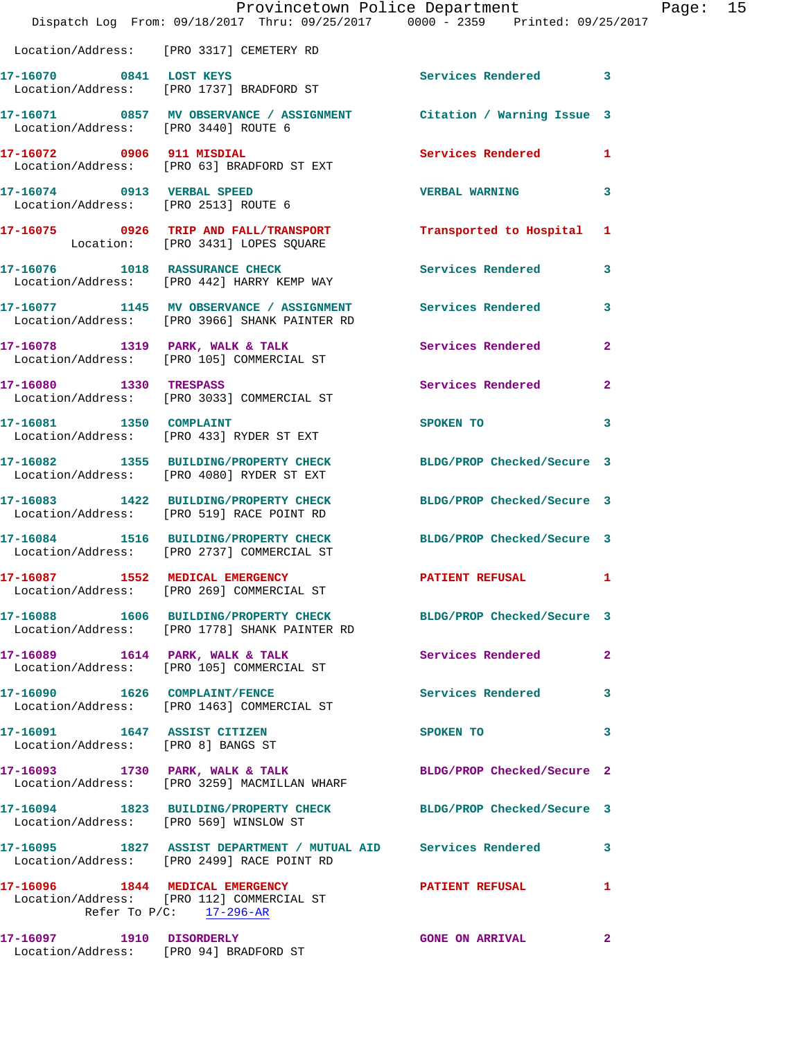|                                                                    | Provincetown Police Department<br>Dispatch Log From: 09/18/2017 Thru: 09/25/2017 0000 - 2359 Printed: 09/25/2017  |                            |              |
|--------------------------------------------------------------------|-------------------------------------------------------------------------------------------------------------------|----------------------------|--------------|
|                                                                    | Location/Address: [PRO 3317] CEMETERY RD                                                                          |                            |              |
| 17-16070 0841 LOST KEYS                                            | Location/Address: [PRO 1737] BRADFORD ST                                                                          | <b>Services Rendered</b>   | 3            |
| Location/Address: [PRO 3440] ROUTE 6                               | 17-16071 0857 MV OBSERVANCE / ASSIGNMENT Citation / Warning Issue 3                                               |                            |              |
| 17-16072 0906 911 MISDIAL                                          | Location/Address: [PRO 63] BRADFORD ST EXT                                                                        | Services Rendered          | 1            |
| 17-16074 0913 VERBAL SPEED<br>Location/Address: [PRO 2513] ROUTE 6 |                                                                                                                   | <b>VERBAL WARNING</b>      | 3            |
|                                                                    | 17-16075 0926 TRIP AND FALL/TRANSPORT<br>Location: [PRO 3431] LOPES SQUARE                                        | Transported to Hospital    | 1            |
|                                                                    | 17-16076 1018 RASSURANCE CHECK<br>Location/Address: [PRO 442] HARRY KEMP WAY                                      | <b>Services Rendered</b>   | 3            |
|                                                                    | 17-16077 1145 MV OBSERVANCE / ASSIGNMENT Services Rendered<br>Location/Address: [PRO 3966] SHANK PAINTER RD       |                            | 3            |
|                                                                    | 17-16078 1319 PARK, WALK & TALK<br>Location/Address: [PRO 105] COMMERCIAL ST                                      | Services Rendered          | $\mathbf{2}$ |
| 17-16080 1330 TRESPASS                                             | Location/Address: [PRO 3033] COMMERCIAL ST                                                                        | Services Rendered          | $\mathbf{2}$ |
|                                                                    | 17-16081 1350 COMPLAINT<br>Location/Address: [PRO 433] RYDER ST EXT                                               | SPOKEN TO                  | 3            |
|                                                                    | 17-16082 1355 BUILDING/PROPERTY CHECK<br>Location/Address: [PRO 4080] RYDER ST EXT                                | BLDG/PROP Checked/Secure 3 |              |
|                                                                    | 17-16083 1422 BUILDING/PROPERTY CHECK<br>Location/Address: [PRO 519] RACE POINT RD                                | BLDG/PROP Checked/Secure 3 |              |
|                                                                    | 17-16084 1516 BUILDING/PROPERTY CHECK<br>Location/Address: [PRO 2737] COMMERCIAL ST                               | BLDG/PROP Checked/Secure 3 |              |
| 17-16087 1552 MEDICAL EMERGENCY                                    | Location/Address: [PRO 269] COMMERCIAL ST                                                                         | PATIENT REFUSAL            | 1            |
|                                                                    | 17-16088 1606 BUILDING/PROPERTY CHECK BLDG/PROP Checked/Secure 3<br>Location/Address: [PRO 1778] SHANK PAINTER RD |                            |              |
|                                                                    | 17-16089 1614 PARK, WALK & TALK<br>Location/Address: [PRO 105] COMMERCIAL ST                                      | <b>Services Rendered</b>   | $\mathbf{2}$ |
| 17-16090 1626 COMPLAINT/FENCE                                      | Location/Address: [PRO 1463] COMMERCIAL ST                                                                        | Services Rendered          | 3            |
| 17-16091 1647 ASSIST CITIZEN<br>Location/Address: [PRO 8] BANGS ST |                                                                                                                   | SPOKEN TO                  | 3            |
|                                                                    | 17-16093 1730 PARK, WALK & TALK<br>Location/Address: [PRO 3259] MACMILLAN WHARF                                   | BLDG/PROP Checked/Secure 2 |              |
|                                                                    | 17-16094 1823 BUILDING/PROPERTY CHECK BLDG/PROP Checked/Secure 3<br>Location/Address: [PRO 569] WINSLOW ST        |                            |              |
|                                                                    | 17-16095 1827 ASSIST DEPARTMENT / MUTUAL AID Services Rendered<br>Location/Address: [PRO 2499] RACE POINT RD      |                            | 3            |
|                                                                    | 17-16096 1844 MEDICAL EMERGENCY<br>Location/Address: [PRO 112] COMMERCIAL ST<br>Refer To $P/C$ : 17-296-AR        | <b>PATIENT REFUSAL</b>     | 1            |
| 17-16097    1910    DISORDERLY                                     | Location/Address: [PRO 94] BRADFORD ST                                                                            | <b>GONE ON ARRIVAL</b>     | 2            |

Page: 15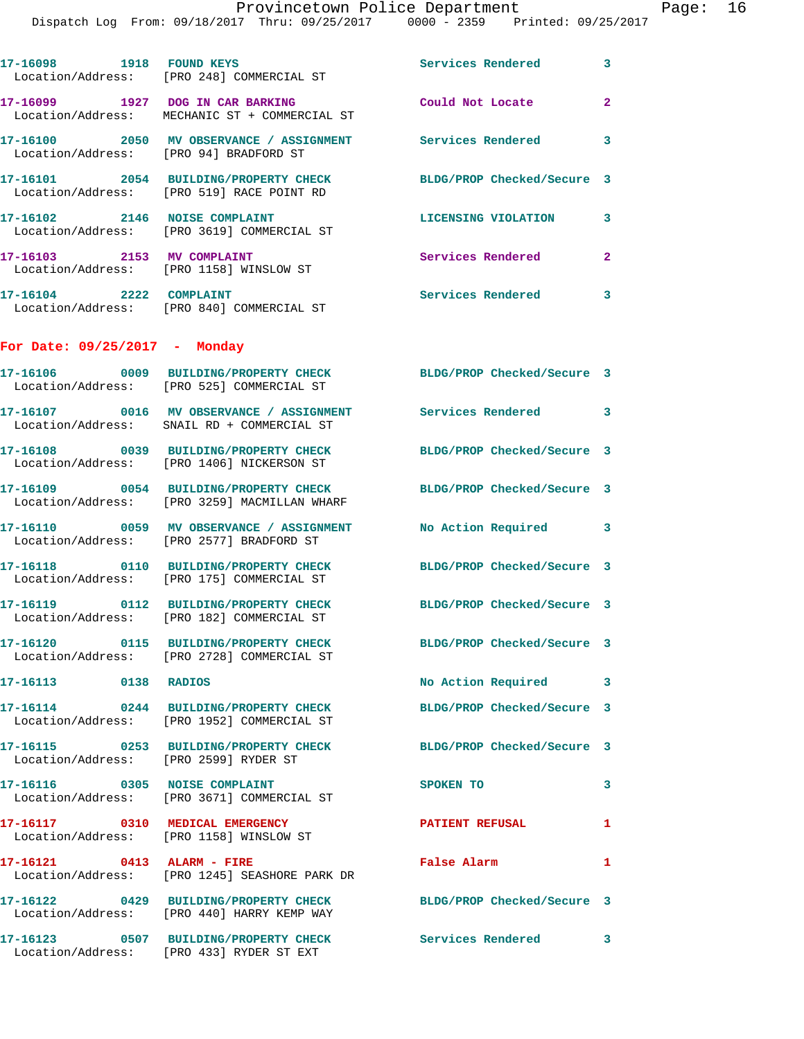|                                        |                                                                                   | Provincetown Police Department<br>Dispatch Log From: 09/18/2017 Thru: 09/25/2017 0000 - 2359 Printed: 09/25/2017 |              | Page: 16 |  |
|----------------------------------------|-----------------------------------------------------------------------------------|------------------------------------------------------------------------------------------------------------------|--------------|----------|--|
|                                        |                                                                                   | Services Rendered 3                                                                                              |              |          |  |
|                                        | 17-16099 1927 DOG IN CAR BARKING<br>Location/Address: MECHANIC ST + COMMERCIAL ST | Could Not Locate                                                                                                 | $\mathbf{2}$ |          |  |
| Location/Address: [PRO 94] BRADFORD ST |                                                                                   | 17-16100 2050 MV OBSERVANCE / ASSIGNMENT Services Rendered 3                                                     |              |          |  |
|                                        | Location/Address: [PRO 519] RACE POINT RD                                         | 17-16101 2054 BUILDING/PROPERTY CHECK BLDG/PROP Checked/Secure 3                                                 |              |          |  |
|                                        | 17-16102 2146 NOISE COMPLAINT<br>Location/Address: [PRO 3619] COMMERCIAL ST       | LICENSING VIOLATION 3                                                                                            |              |          |  |
|                                        | 17-16103 2153 MV COMPLAINT<br>Location/Address: [PRO 1158] WINSLOW ST             | Services Rendered                                                                                                | $\mathbf{2}$ |          |  |
| 17-16104 2222 COMPLAINT                | Location/Address: [PRO 840] COMMERCIAL ST                                         | Services Rendered 3                                                                                              |              |          |  |
| For Date: $09/25/2017$ - Monday        |                                                                                   |                                                                                                                  |              |          |  |
|                                        | Location/Address: [PRO 525] COMMERCIAL ST                                         | 17-16106 0009 BUILDING/PROPERTY CHECK BLDG/PROP Checked/Secure 3                                                 |              |          |  |
|                                        | Location/Address: SNAIL RD + COMMERCIAL ST                                        | 17-16107 0016 MV OBSERVANCE / ASSIGNMENT Services Rendered 3                                                     |              |          |  |
|                                        | Location/Address: [PRO 1406] NICKERSON ST                                         | 17-16108 0039 BUILDING/PROPERTY CHECK BLDG/PROP Checked/Secure 3                                                 |              |          |  |
|                                        | Location/Address: [PRO 3259] MACMILLAN WHARF                                      | 17-16109 0054 BUILDING/PROPERTY CHECK BLDG/PROP Checked/Secure 3                                                 |              |          |  |
|                                        | Location/Address: [PRO 2577] BRADFORD ST                                          | 17-16110 0059 MV OBSERVANCE / ASSIGNMENT No Action Required 3                                                    |              |          |  |
|                                        | Location/Address: [PRO 175] COMMERCIAL ST                                         | 17-16118 0110 BUILDING/PROPERTY CHECK BLDG/PROP Checked/Secure 3                                                 |              |          |  |
|                                        | Location/Address: [PRO 182] COMMERCIAL ST                                         | 17-16119 0112 BUILDING/PROPERTY CHECK BLDG/PROP Checked/Secure 3                                                 |              |          |  |
|                                        | Location/Address: [PRO 2728] COMMERCIAL ST                                        | 17-16120 0115 BUILDING/PROPERTY CHECK BLDG/PROP Checked/Secure 3                                                 |              |          |  |
| 17-16113 0138 RADIOS                   |                                                                                   | No Action Required 3                                                                                             |              |          |  |
|                                        | Location/Address: [PRO 1952] COMMERCIAL ST                                        | 17-16114 0244 BUILDING/PROPERTY CHECK BLDG/PROP Checked/Secure 3                                                 |              |          |  |
|                                        | Location/Address: [PRO 2599] RYDER ST                                             | 17-16115 0253 BUILDING/PROPERTY CHECK BLDG/PROP Checked/Secure 3                                                 |              |          |  |
|                                        | 17-16116 0305 NOISE COMPLAINT<br>Location/Address: [PRO 3671] COMMERCIAL ST       | <b>SPOKEN TO</b>                                                                                                 | 3            |          |  |
|                                        | 17-16117 0310 MEDICAL EMERGENCY<br>Location/Address: [PRO 1158] WINSLOW ST        | PATIENT REFUSAL 1                                                                                                |              |          |  |
|                                        | 17-16121 0413 ALARM - FIRE<br>Location/Address: [PRO 1245] SEASHORE PARK DR       | False Alarm <b>Exercise Service Service</b>                                                                      | $\mathbf{1}$ |          |  |
|                                        | Location/Address: [PRO 440] HARRY KEMP WAY                                        | 17-16122 0429 BUILDING/PROPERTY CHECK BLDG/PROP Checked/Secure 3                                                 |              |          |  |
|                                        | Location/Address: [PRO 433] RYDER ST EXT                                          | 17-16123 0507 BUILDING/PROPERTY CHECK Services Rendered 3                                                        |              |          |  |
|                                        |                                                                                   |                                                                                                                  |              |          |  |